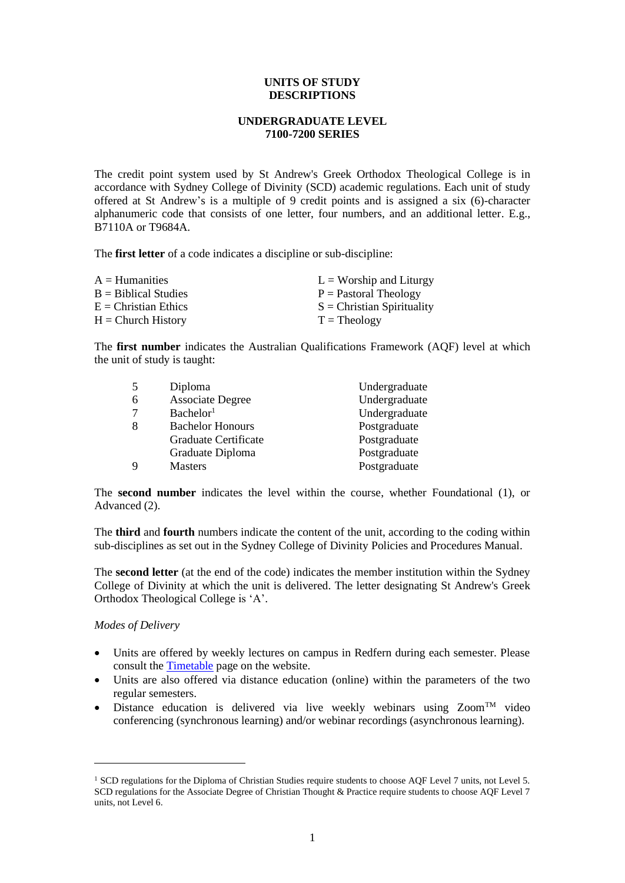## **UNITS OF STUDY DESCRIPTIONS**

# **UNDERGRADUATE LEVEL 7100-7200 SERIES**

The credit point system used by St Andrew's Greek Orthodox Theological College is in accordance with Sydney College of Divinity (SCD) academic regulations. Each unit of study offered at St Andrew's is a multiple of 9 credit points and is assigned a six (6)-character alphanumeric code that consists of one letter, four numbers, and an additional letter. E.g., B7110A or T9684A.

The **first letter** of a code indicates a discipline or sub-discipline:

| $A =$ Humanities       | $L =$ Worship and Liturgy    |
|------------------------|------------------------------|
| $B =$ Biblical Studies | $P =$ Pastoral Theology      |
| $E =$ Christian Ethics | $S =$ Christian Spirituality |
| $H =$ Church History   | $T = Theology$               |

The **first number** indicates the Australian Qualifications Framework (AQF) level at which the unit of study is taught:

| -5          | Diploma                 | Undergraduate |
|-------------|-------------------------|---------------|
| -6          | <b>Associate Degree</b> | Undergraduate |
| 7           | Bachelor <sup>1</sup>   | Undergraduate |
| 8           | <b>Bachelor Honours</b> | Postgraduate  |
|             | Graduate Certificate    | Postgraduate  |
|             | Graduate Diploma        | Postgraduate  |
| $\mathbf Q$ | <b>Masters</b>          | Postgraduate  |

The **second number** indicates the level within the course, whether Foundational (1), or Advanced (2).

The **third** and **fourth** numbers indicate the content of the unit, according to the coding within sub-disciplines as set out in the Sydney College of Divinity Policies and Procedures Manual.

The **second letter** (at the end of the code) indicates the member institution within the Sydney College of Divinity at which the unit is delivered. The letter designating St Andrew's Greek Orthodox Theological College is 'A'.

*Modes of Delivery*

- Units are offered by weekly lectures on campus in Redfern during each semester. Please consult th[e Timetable](http://www.sagotc.edu.au/studies/timetables) page on the website.
- Units are also offered via distance education (online) within the parameters of the two regular semesters.
- Distance education is delivered via live weekly webinars using  $\text{Zoom}^{\text{TM}}$  video conferencing (synchronous learning) and/or webinar recordings (asynchronous learning).

<span id="page-0-0"></span><sup>&</sup>lt;sup>1</sup> SCD regulations for the Diploma of Christian Studies require students to choose AQF Level 7 units, not Level 5. SCD regulations for the Associate Degree of Christian Thought & Practice require students to choose AQF Level 7 units, not Level 6.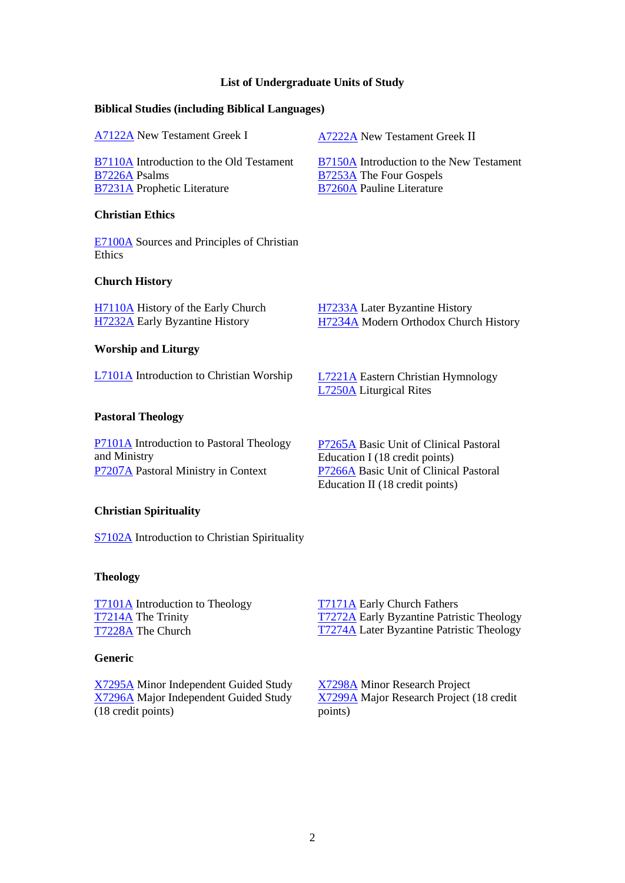## **List of Undergraduate Units of Study**

## **Biblical Studies (including Biblical Languages)**

| A7122A New Testament Greek I                                                                                  | A7222A New Testament Greek II                                                                                                                         |
|---------------------------------------------------------------------------------------------------------------|-------------------------------------------------------------------------------------------------------------------------------------------------------|
| B7110A Introduction to the Old Testament<br><b>B7226A Psalms</b><br><b>B7231A</b> Prophetic Literature        | B7150A Introduction to the New Testament<br><b>B7253A</b> The Four Gospels<br><b>B7260A Pauline Literature</b>                                        |
| <b>Christian Ethics</b>                                                                                       |                                                                                                                                                       |
| E7100A Sources and Principles of Christian<br>Ethics                                                          |                                                                                                                                                       |
| <b>Church History</b>                                                                                         |                                                                                                                                                       |
| H7110A History of the Early Church<br><b>H7232A</b> Early Byzantine History                                   | H7233A Later Byzantine History<br>H7234A Modern Orthodox Church History                                                                               |
| <b>Worship and Liturgy</b>                                                                                    |                                                                                                                                                       |
| <b>L7101A</b> Introduction to Christian Worship                                                               | L7221A Eastern Christian Hymnology<br><b>L7250A</b> Liturgical Rites                                                                                  |
| <b>Pastoral Theology</b>                                                                                      |                                                                                                                                                       |
| <b>P7101A</b> Introduction to Pastoral Theology<br>and Ministry<br><b>P7207A</b> Pastoral Ministry in Context | P7265A Basic Unit of Clinical Pastoral<br>Education I (18 credit points)<br>P7266A Basic Unit of Clinical Pastoral<br>Education II (18 credit points) |
| <b>Christian Spirituality</b>                                                                                 |                                                                                                                                                       |

[S7102A](#page-21-0) Introduction to Christian Spirituality

## **Theology**

[T7101A](#page-22-0) Introduction to Theology [T7214A](#page-24-0) The Trinity [T722](#page-25-0)8A The Church

## **Generic**

<span id="page-1-0"></span>[X7295A](#page-28-0) Minor Independent Guided Study [X7296A](#page-29-0) Major Independent Guided Study (18 credit points)

[T7171A](#page-23-0) Early Church Fathers [T7272A](#page-26-0) Early Byzantine Patristic Theology [T7274A](#page-27-0) Later Byzantine Patristic Theology

[X7298A](#page-30-0) Minor Research Project [X7299A](#page-31-0) Major Research Project (18 credit points)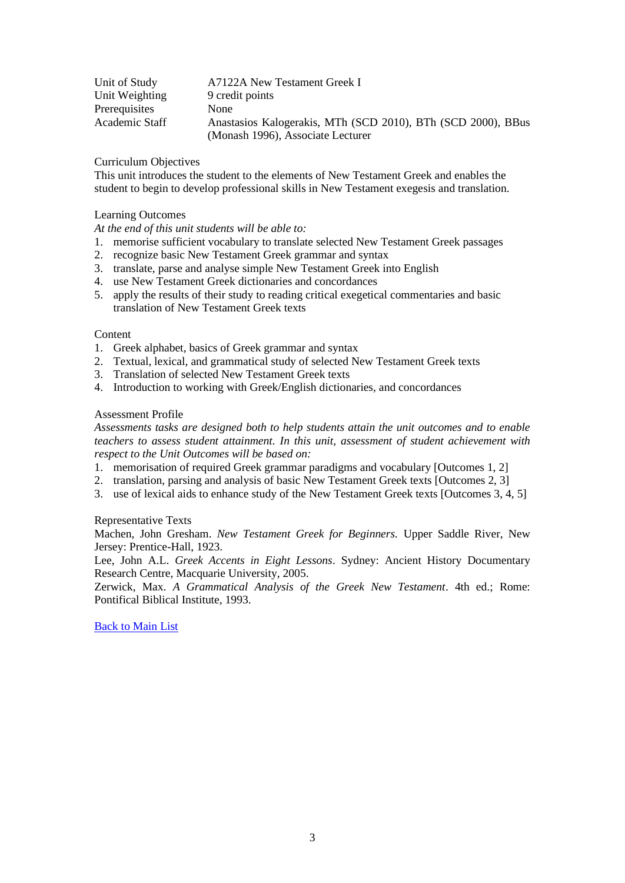| Unit of Study  | A7122A New Testament Greek I                                 |
|----------------|--------------------------------------------------------------|
| Unit Weighting | 9 credit points                                              |
| Prerequisites  | None                                                         |
| Academic Staff | Anastasios Kalogerakis, MTh (SCD 2010), BTh (SCD 2000), BBus |
|                | (Monash 1996), Associate Lecturer                            |

This unit introduces the student to the elements of New Testament Greek and enables the student to begin to develop professional skills in New Testament exegesis and translation.

### Learning Outcomes

*At the end of this unit students will be able to:*

- 1. memorise sufficient vocabulary to translate selected New Testament Greek passages
- 2. recognize basic New Testament Greek grammar and syntax
- 3. translate, parse and analyse simple New Testament Greek into English
- 4. use New Testament Greek dictionaries and concordances
- 5. apply the results of their study to reading critical exegetical commentaries and basic translation of New Testament Greek texts

#### Content

- 1. Greek alphabet, basics of Greek grammar and syntax
- 2. Textual, lexical, and grammatical study of selected New Testament Greek texts
- 3. Translation of selected New Testament Greek texts
- 4. Introduction to working with Greek/English dictionaries, and concordances

## Assessment Profile

*Assessments tasks are designed both to help students attain the unit outcomes and to enable teachers to assess student attainment. In this unit, assessment of student achievement with respect to the Unit Outcomes will be based on:*

- 1. memorisation of required Greek grammar paradigms and vocabulary [Outcomes 1, 2]
- 2. translation, parsing and analysis of basic New Testament Greek texts [Outcomes 2, 3]
- 3. use of lexical aids to enhance study of the New Testament Greek texts [Outcomes 3, 4, 5]

#### Representative Texts

Machen, John Gresham. *New Testament Greek for Beginners.* Upper Saddle River, New Jersey: Prentice-Hall, 1923.

Lee, John A.L. *Greek Accents in Eight Lessons*. Sydney: Ancient History Documentary Research Centre, Macquarie University, 2005.

<span id="page-2-0"></span>Zerwick, Max. *A Grammatical Analysis of the Greek New Testament*. 4th ed.; Rome: Pontifical Biblical Institute, 1993.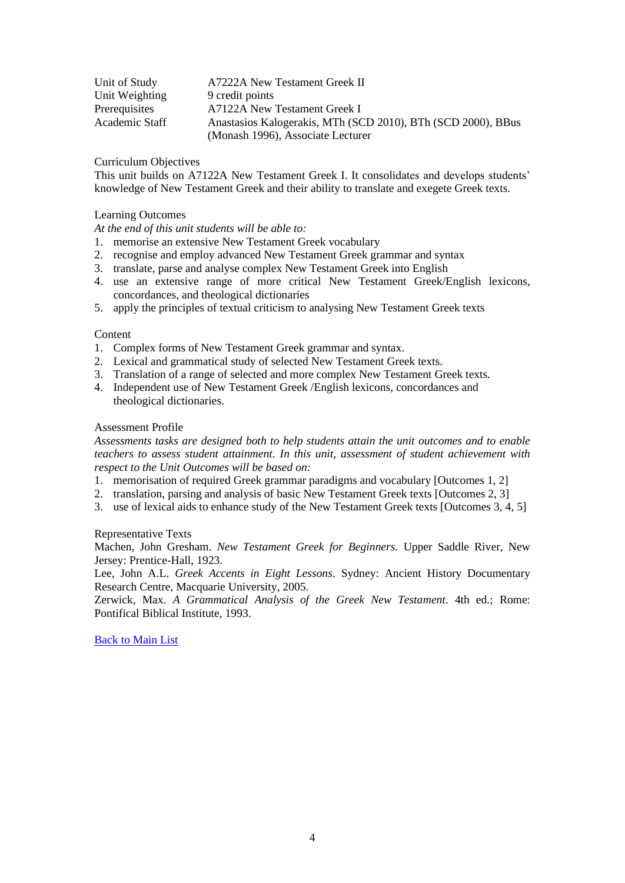| Unit of Study  | A7222A New Testament Greek II                                |
|----------------|--------------------------------------------------------------|
| Unit Weighting | 9 credit points                                              |
| Prerequisites  | A7122A New Testament Greek I                                 |
| Academic Staff | Anastasios Kalogerakis, MTh (SCD 2010), BTh (SCD 2000), BBus |
|                | (Monash 1996), Associate Lecturer                            |

This unit builds on A7122A New Testament Greek I. It consolidates and develops students' knowledge of New Testament Greek and their ability to translate and exegete Greek texts.

## Learning Outcomes

*At the end of this unit students will be able to:*

- 1. memorise an extensive New Testament Greek vocabulary
- 2. recognise and employ advanced New Testament Greek grammar and syntax
- 3. translate, parse and analyse complex New Testament Greek into English
- 4. use an extensive range of more critical New Testament Greek/English lexicons, concordances, and theological dictionaries
- 5. apply the principles of textual criticism to analysing New Testament Greek texts

#### **Content**

- 1. Complex forms of New Testament Greek grammar and syntax.
- 2. Lexical and grammatical study of selected New Testament Greek texts.
- 3. Translation of a range of selected and more complex New Testament Greek texts.
- 4. Independent use of New Testament Greek /English lexicons, concordances and theological dictionaries.

## Assessment Profile

*Assessments tasks are designed both to help students attain the unit outcomes and to enable teachers to assess student attainment. In this unit, assessment of student achievement with respect to the Unit Outcomes will be based on:*

- 1. memorisation of required Greek grammar paradigms and vocabulary [Outcomes 1, 2]
- 2. translation, parsing and analysis of basic New Testament Greek texts [Outcomes 2, 3]
- 3. use of lexical aids to enhance study of the New Testament Greek texts [Outcomes 3, 4, 5]

# Representative Texts

Machen, John Gresham. *New Testament Greek for Beginners.* Upper Saddle River, New Jersey: Prentice-Hall, 1923.

Lee, John A.L. *Greek Accents in Eight Lessons*. Sydney: Ancient History Documentary Research Centre, Macquarie University, 2005.

<span id="page-3-0"></span>Zerwick, Max. *A Grammatical Analysis of the Greek New Testament*. 4th ed.; Rome: Pontifical Biblical Institute, 1993.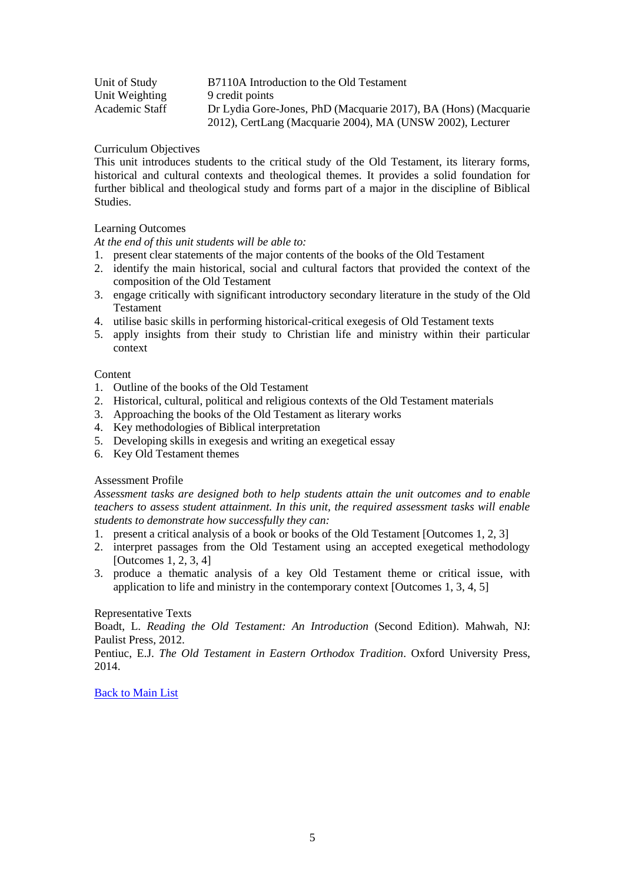| Unit of Study  | B7110A Introduction to the Old Testament                        |
|----------------|-----------------------------------------------------------------|
| Unit Weighting | 9 credit points                                                 |
| Academic Staff | Dr Lydia Gore-Jones, PhD (Macquarie 2017), BA (Hons) (Macquarie |
|                | 2012), CertLang (Macquarie 2004), MA (UNSW 2002), Lecturer      |

This unit introduces students to the critical study of the Old Testament, its literary forms, historical and cultural contexts and theological themes. It provides a solid foundation for further biblical and theological study and forms part of a major in the discipline of Biblical Studies.

# Learning Outcomes

*At the end of this unit students will be able to:*

- 1. present clear statements of the major contents of the books of the Old Testament
- 2. identify the main historical, social and cultural factors that provided the context of the composition of the Old Testament
- 3. engage critically with significant introductory secondary literature in the study of the Old Testament
- 4. utilise basic skills in performing historical-critical exegesis of Old Testament texts
- 5. apply insights from their study to Christian life and ministry within their particular context

# Content

- 1. Outline of the books of the Old Testament
- 2. Historical, cultural, political and religious contexts of the Old Testament materials
- 3. Approaching the books of the Old Testament as literary works
- 4. Key methodologies of Biblical interpretation
- 5. Developing skills in exegesis and writing an exegetical essay
- 6. Key Old Testament themes

# Assessment Profile

*Assessment tasks are designed both to help students attain the unit outcomes and to enable teachers to assess student attainment. In this unit, the required assessment tasks will enable students to demonstrate how successfully they can:*

- 1. present a critical analysis of a book or books of the Old Testament [Outcomes 1, 2, 3]
- 2. interpret passages from the Old Testament using an accepted exegetical methodology [Outcomes 1, 2, 3, 4]
- 3. produce a thematic analysis of a key Old Testament theme or critical issue, with application to life and ministry in the contemporary context [Outcomes 1, 3, 4, 5]

# Representative Texts

Boadt, L. *Reading the Old Testament: An Introduction* (Second Edition). Mahwah, NJ: Paulist Press, 2012.

<span id="page-4-0"></span>Pentiuc, E.J. *The Old Testament in Eastern Orthodox Tradition*. Oxford University Press, 2014.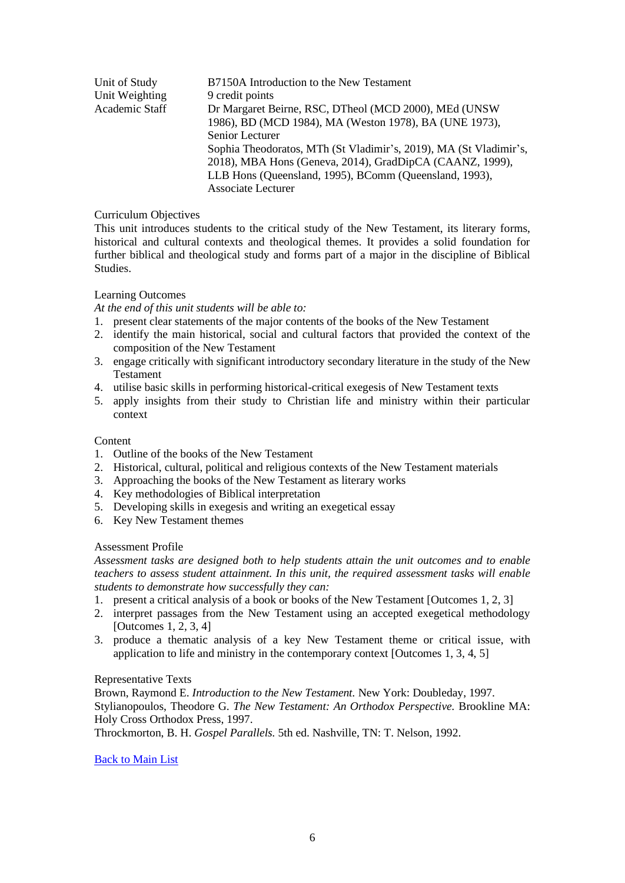| Unit of Study  | B7150A Introduction to the New Testament                          |
|----------------|-------------------------------------------------------------------|
| Unit Weighting | 9 credit points                                                   |
| Academic Staff | Dr Margaret Beirne, RSC, DTheol (MCD 2000), MEd (UNSW             |
|                | 1986), BD (MCD 1984), MA (Weston 1978), BA (UNE 1973),            |
|                | Senior Lecturer                                                   |
|                | Sophia Theodoratos, MTh (St Vladimir's, 2019), MA (St Vladimir's, |
|                | 2018), MBA Hons (Geneva, 2014), GradDipCA (CAANZ, 1999),          |
|                | LLB Hons (Queensland, 1995), BComm (Queensland, 1993),            |
|                | <b>Associate Lecturer</b>                                         |
|                |                                                                   |

This unit introduces students to the critical study of the New Testament, its literary forms, historical and cultural contexts and theological themes. It provides a solid foundation for further biblical and theological study and forms part of a major in the discipline of Biblical Studies.

# Learning Outcomes

*At the end of this unit students will be able to:*

- 1. present clear statements of the major contents of the books of the New Testament
- 2. identify the main historical, social and cultural factors that provided the context of the composition of the New Testament
- 3. engage critically with significant introductory secondary literature in the study of the New Testament
- 4. utilise basic skills in performing historical-critical exegesis of New Testament texts
- 5. apply insights from their study to Christian life and ministry within their particular context

# Content

- 1. Outline of the books of the New Testament
- 2. Historical, cultural, political and religious contexts of the New Testament materials
- 3. Approaching the books of the New Testament as literary works
- 4. Key methodologies of Biblical interpretation
- 5. Developing skills in exegesis and writing an exegetical essay
- 6. Key New Testament themes

#### Assessment Profile

*Assessment tasks are designed both to help students attain the unit outcomes and to enable teachers to assess student attainment. In this unit, the required assessment tasks will enable students to demonstrate how successfully they can:*

- 1. present a critical analysis of a book or books of the New Testament [Outcomes 1, 2, 3]
- 2. interpret passages from the New Testament using an accepted exegetical methodology [Outcomes 1, 2, 3, 4]
- 3. produce a thematic analysis of a key New Testament theme or critical issue, with application to life and ministry in the contemporary context [Outcomes 1, 3, 4, 5]

#### Representative Texts

Brown, Raymond E. *Introduction to the New Testament.* New York: Doubleday, 1997. Stylianopoulos, Theodore G. *The New Testament: An Orthodox Perspective.* Brookline MA: Holy Cross Orthodox Press, 1997.

<span id="page-5-0"></span>Throckmorton, B. H. *Gospel Parallels.* 5th ed. Nashville, TN: T. Nelson, 1992.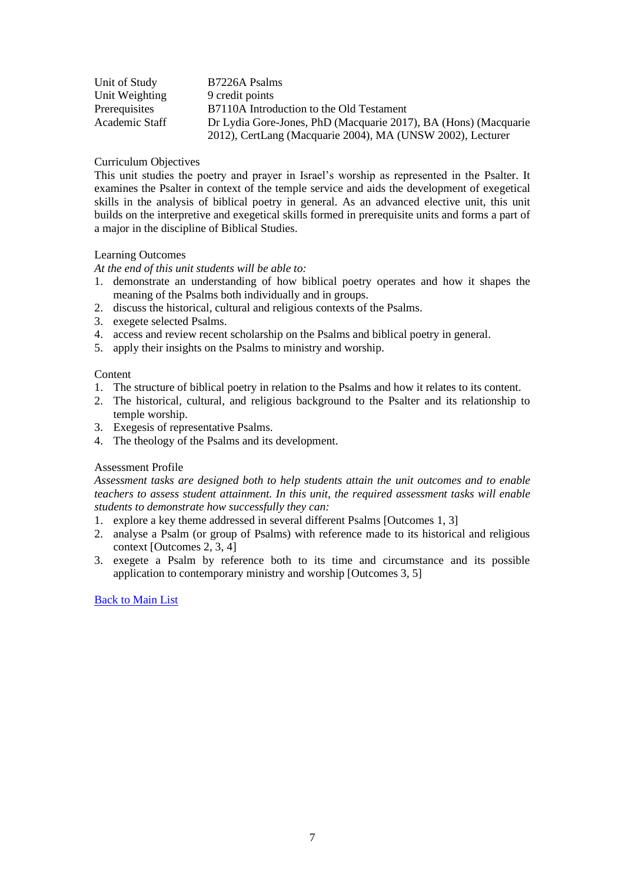| Unit of Study  | B7226A Psalms                                                   |
|----------------|-----------------------------------------------------------------|
| Unit Weighting | 9 credit points                                                 |
| Prerequisites  | B7110A Introduction to the Old Testament                        |
| Academic Staff | Dr Lydia Gore-Jones, PhD (Macquarie 2017), BA (Hons) (Macquarie |
|                | 2012), CertLang (Macquarie 2004), MA (UNSW 2002), Lecturer      |

This unit studies the poetry and prayer in Israel's worship as represented in the Psalter. It examines the Psalter in context of the temple service and aids the development of exegetical skills in the analysis of biblical poetry in general. As an advanced elective unit, this unit builds on the interpretive and exegetical skills formed in prerequisite units and forms a part of a major in the discipline of Biblical Studies.

# Learning Outcomes

*At the end of this unit students will be able to:*

- 1. demonstrate an understanding of how biblical poetry operates and how it shapes the meaning of the Psalms both individually and in groups.
- 2. discuss the historical, cultural and religious contexts of the Psalms.
- 3. exegete selected Psalms.
- 4. access and review recent scholarship on the Psalms and biblical poetry in general.
- 5. apply their insights on the Psalms to ministry and worship.

# **Content**

- 1. The structure of biblical poetry in relation to the Psalms and how it relates to its content.
- 2. The historical, cultural, and religious background to the Psalter and its relationship to temple worship.
- 3. Exegesis of representative Psalms.
- 4. The theology of the Psalms and its development.

# Assessment Profile

*Assessment tasks are designed both to help students attain the unit outcomes and to enable teachers to assess student attainment. In this unit, the required assessment tasks will enable students to demonstrate how successfully they can:*

- 1. explore a key theme addressed in several different Psalms [Outcomes 1, 3]
- 2. analyse a Psalm (or group of Psalms) with reference made to its historical and religious context [Outcomes 2, 3, 4]
- <span id="page-6-0"></span>3. exegete a Psalm by reference both to its time and circumstance and its possible application to contemporary ministry and worship [Outcomes 3, 5]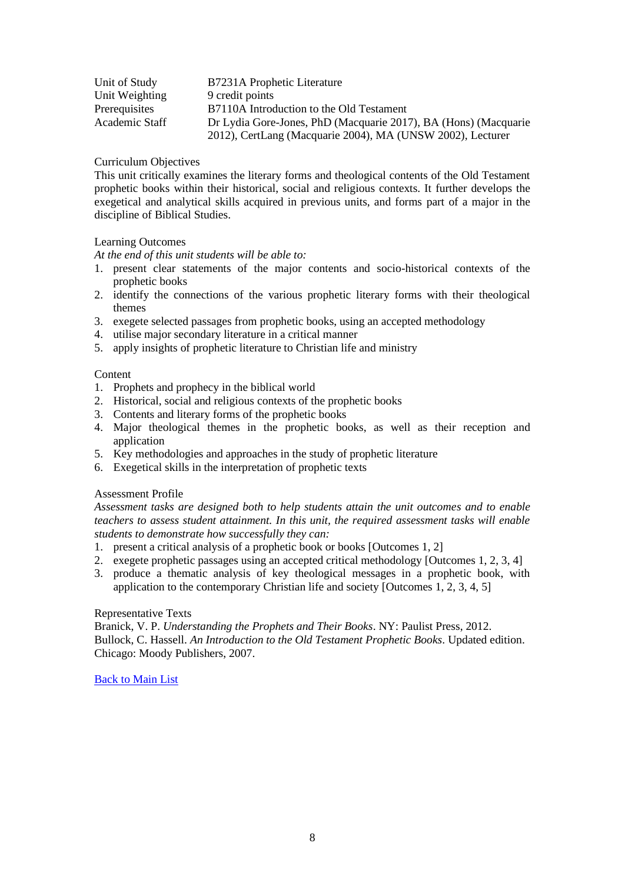| Unit of Study  | B7231A Prophetic Literature                                     |
|----------------|-----------------------------------------------------------------|
| Unit Weighting | 9 credit points                                                 |
| Prerequisites  | B7110A Introduction to the Old Testament                        |
| Academic Staff | Dr Lydia Gore-Jones, PhD (Macquarie 2017), BA (Hons) (Macquarie |
|                | 2012), CertLang (Macquarie 2004), MA (UNSW 2002), Lecturer      |

This unit critically examines the literary forms and theological contents of the Old Testament prophetic books within their historical, social and religious contexts. It further develops the exegetical and analytical skills acquired in previous units, and forms part of a major in the discipline of Biblical Studies.

## Learning Outcomes

*At the end of this unit students will be able to:*

- 1. present clear statements of the major contents and socio-historical contexts of the prophetic books
- 2. identify the connections of the various prophetic literary forms with their theological themes
- 3. exegete selected passages from prophetic books, using an accepted methodology
- 4. utilise major secondary literature in a critical manner
- 5. apply insights of prophetic literature to Christian life and ministry

## **Content**

- 1. Prophets and prophecy in the biblical world
- 2. Historical, social and religious contexts of the prophetic books
- 3. Contents and literary forms of the prophetic books
- 4. Major theological themes in the prophetic books, as well as their reception and application
- 5. Key methodologies and approaches in the study of prophetic literature
- 6. Exegetical skills in the interpretation of prophetic texts

#### Assessment Profile

*Assessment tasks are designed both to help students attain the unit outcomes and to enable teachers to assess student attainment. In this unit, the required assessment tasks will enable students to demonstrate how successfully they can:*

- 1. present a critical analysis of a prophetic book or books [Outcomes 1, 2]
- 2. exegete prophetic passages using an accepted critical methodology [Outcomes 1, 2, 3, 4]
- 3. produce a thematic analysis of key theological messages in a prophetic book, with application to the contemporary Christian life and society [Outcomes 1, 2, 3, 4, 5]

#### Representative Texts

<span id="page-7-0"></span>Branick, V. P. *Understanding the Prophets and Their Books*. NY: Paulist Press, 2012. Bullock, C. Hassell. *An Introduction to the Old Testament Prophetic Books*. Updated edition. Chicago: Moody Publishers, 2007.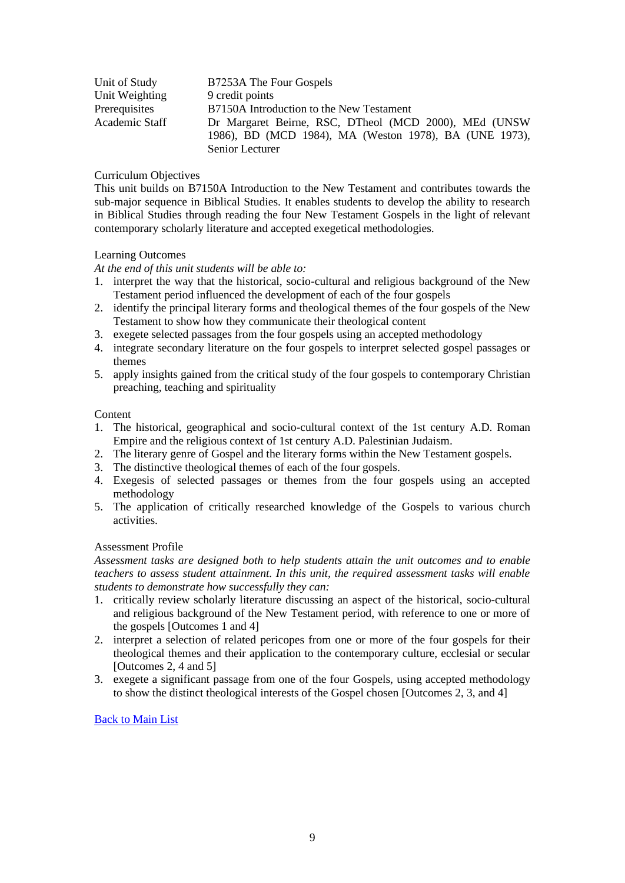| Unit of Study  | B7253A The Four Gospels                                |
|----------------|--------------------------------------------------------|
| Unit Weighting | 9 credit points                                        |
| Prerequisites  | B7150A Introduction to the New Testament               |
| Academic Staff | Dr Margaret Beirne, RSC, DTheol (MCD 2000), MEd (UNSW  |
|                | 1986), BD (MCD 1984), MA (Weston 1978), BA (UNE 1973), |
|                | Senior Lecturer                                        |

This unit builds on B7150A Introduction to the New Testament and contributes towards the sub-major sequence in Biblical Studies. It enables students to develop the ability to research in Biblical Studies through reading the four New Testament Gospels in the light of relevant contemporary scholarly literature and accepted exegetical methodologies.

## Learning Outcomes

*At the end of this unit students will be able to:*

- 1. interpret the way that the historical, socio-cultural and religious background of the New Testament period influenced the development of each of the four gospels
- 2. identify the principal literary forms and theological themes of the four gospels of the New Testament to show how they communicate their theological content
- 3. exegete selected passages from the four gospels using an accepted methodology
- 4. integrate secondary literature on the four gospels to interpret selected gospel passages or themes
- 5. apply insights gained from the critical study of the four gospels to contemporary Christian preaching, teaching and spirituality

## Content

- 1. The historical, geographical and socio-cultural context of the 1st century A.D. Roman Empire and the religious context of 1st century A.D. Palestinian Judaism.
- 2. The literary genre of Gospel and the literary forms within the New Testament gospels.
- 3. The distinctive theological themes of each of the four gospels.
- 4. Exegesis of selected passages or themes from the four gospels using an accepted methodology
- 5. The application of critically researched knowledge of the Gospels to various church activities.

# Assessment Profile

*Assessment tasks are designed both to help students attain the unit outcomes and to enable teachers to assess student attainment. In this unit, the required assessment tasks will enable students to demonstrate how successfully they can:*

- 1. critically review scholarly literature discussing an aspect of the historical, socio-cultural and religious background of the New Testament period, with reference to one or more of the gospels [Outcomes 1 and 4]
- 2. interpret a selection of related pericopes from one or more of the four gospels for their theological themes and their application to the contemporary culture, ecclesial or secular [Outcomes 2, 4 and 5]
- <span id="page-8-0"></span>3. exegete a significant passage from one of the four Gospels, using accepted methodology to show the distinct theological interests of the Gospel chosen [Outcomes 2, 3, and 4]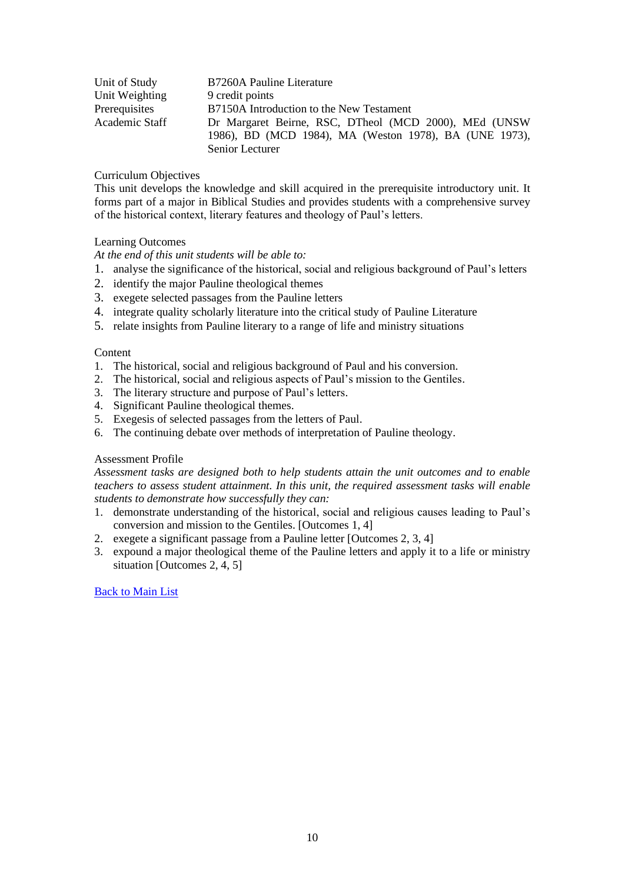| Unit of Study  | B7260A Pauline Literature                              |
|----------------|--------------------------------------------------------|
| Unit Weighting | 9 credit points                                        |
| Prerequisites  | B7150A Introduction to the New Testament               |
| Academic Staff | Dr Margaret Beirne, RSC, DTheol (MCD 2000), MEd (UNSW  |
|                | 1986), BD (MCD 1984), MA (Weston 1978), BA (UNE 1973), |
|                | Senior Lecturer                                        |

This unit develops the knowledge and skill acquired in the prerequisite introductory unit. It forms part of a major in Biblical Studies and provides students with a comprehensive survey of the historical context, literary features and theology of Paul's letters.

# Learning Outcomes

*At the end of this unit students will be able to:*

- 1. analyse the significance of the historical, social and religious background of Paul's letters
- 2. identify the major Pauline theological themes
- 3. exegete selected passages from the Pauline letters
- 4. integrate quality scholarly literature into the critical study of Pauline Literature
- 5. relate insights from Pauline literary to a range of life and ministry situations

## **Content**

- 1. The historical, social and religious background of Paul and his conversion.
- 2. The historical, social and religious aspects of Paul's mission to the Gentiles.
- 3. The literary structure and purpose of Paul's letters.
- 4. Significant Pauline theological themes.
- 5. Exegesis of selected passages from the letters of Paul.
- 6. The continuing debate over methods of interpretation of Pauline theology.

# Assessment Profile

*Assessment tasks are designed both to help students attain the unit outcomes and to enable teachers to assess student attainment. In this unit, the required assessment tasks will enable students to demonstrate how successfully they can:*

- 1. demonstrate understanding of the historical, social and religious causes leading to Paul's conversion and mission to the Gentiles. [Outcomes 1, 4]
- 2. exegete a significant passage from a Pauline letter [Outcomes 2, 3, 4]
- <span id="page-9-0"></span>3. expound a major theological theme of the Pauline letters and apply it to a life or ministry situation [Outcomes 2, 4, 5]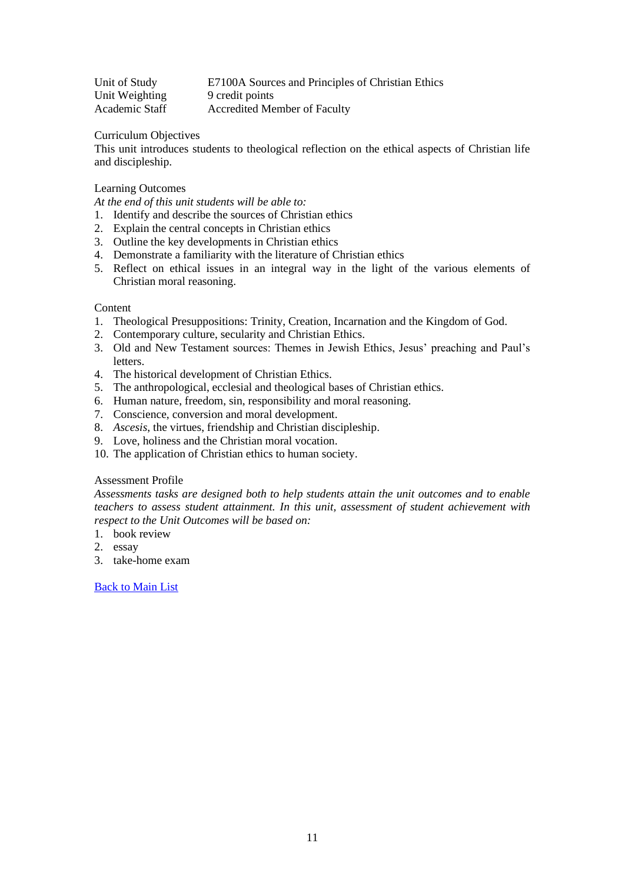Unit of Study E7100A Sources and Principles of Christian Ethics Unit Weighting 9 credit points Academic Staff Accredited Member of Faculty

Curriculum Objectives

This unit introduces students to theological reflection on the ethical aspects of Christian life and discipleship.

# Learning Outcomes

*At the end of this unit students will be able to:*

- 1. Identify and describe the sources of Christian ethics
- 2. Explain the central concepts in Christian ethics
- 3. Outline the key developments in Christian ethics
- 4. Demonstrate a familiarity with the literature of Christian ethics
- 5. Reflect on ethical issues in an integral way in the light of the various elements of Christian moral reasoning.

#### Content

- 1. Theological Presuppositions: Trinity, Creation, Incarnation and the Kingdom of God.
- 2. Contemporary culture, secularity and Christian Ethics.
- 3. Old and New Testament sources: Themes in Jewish Ethics, Jesus' preaching and Paul's **letters**
- 4. The historical development of Christian Ethics.
- 5. The anthropological, ecclesial and theological bases of Christian ethics.
- 6. Human nature, freedom, sin, responsibility and moral reasoning.
- 7. Conscience, conversion and moral development.
- 8. *Ascesis*, the virtues, friendship and Christian discipleship.
- 9. Love, holiness and the Christian moral vocation.
- 10. The application of Christian ethics to human society.

## Assessment Profile

*Assessments tasks are designed both to help students attain the unit outcomes and to enable teachers to assess student attainment. In this unit, assessment of student achievement with respect to the Unit Outcomes will be based on:*

- 1. book review
- 2. essay
- <span id="page-10-0"></span>3. take-home exam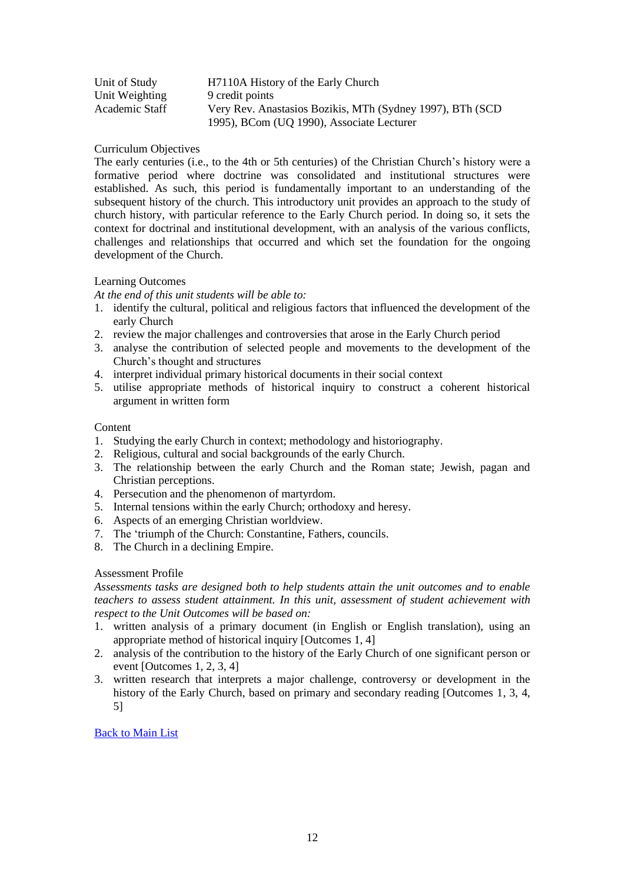| Unit of Study  | H7110A History of the Early Church                         |
|----------------|------------------------------------------------------------|
| Unit Weighting | 9 credit points                                            |
| Academic Staff | Very Rev. Anastasios Bozikis, MTh (Sydney 1997), BTh (SCD) |
|                | 1995), BCom (UQ 1990), Associate Lecturer                  |

The early centuries (i.e., to the 4th or 5th centuries) of the Christian Church's history were a formative period where doctrine was consolidated and institutional structures were established. As such, this period is fundamentally important to an understanding of the subsequent history of the church. This introductory unit provides an approach to the study of church history, with particular reference to the Early Church period. In doing so, it sets the context for doctrinal and institutional development, with an analysis of the various conflicts, challenges and relationships that occurred and which set the foundation for the ongoing development of the Church.

## Learning Outcomes

*At the end of this unit students will be able to:*

- 1. identify the cultural, political and religious factors that influenced the development of the early Church
- 2. review the major challenges and controversies that arose in the Early Church period
- 3. analyse the contribution of selected people and movements to the development of the Church's thought and structures
- 4. interpret individual primary historical documents in their social context
- 5. utilise appropriate methods of historical inquiry to construct a coherent historical argument in written form

#### **Content**

- 1. Studying the early Church in context; methodology and historiography.
- 2. Religious, cultural and social backgrounds of the early Church.
- 3. The relationship between the early Church and the Roman state; Jewish, pagan and Christian perceptions.
- 4. Persecution and the phenomenon of martyrdom.
- 5. Internal tensions within the early Church; orthodoxy and heresy.
- 6. Aspects of an emerging Christian worldview.
- 7. The 'triumph of the Church: Constantine, Fathers, councils.
- 8. The Church in a declining Empire.

# Assessment Profile

*Assessments tasks are designed both to help students attain the unit outcomes and to enable teachers to assess student attainment. In this unit, assessment of student achievement with respect to the Unit Outcomes will be based on:*

- 1. written analysis of a primary document (in English or English translation), using an appropriate method of historical inquiry [Outcomes 1, 4]
- 2. analysis of the contribution to the history of the Early Church of one significant person or event [Outcomes 1, 2, 3, 4]
- <span id="page-11-0"></span>3. written research that interprets a major challenge, controversy or development in the history of the Early Church, based on primary and secondary reading [Outcomes 1, 3, 4, 5]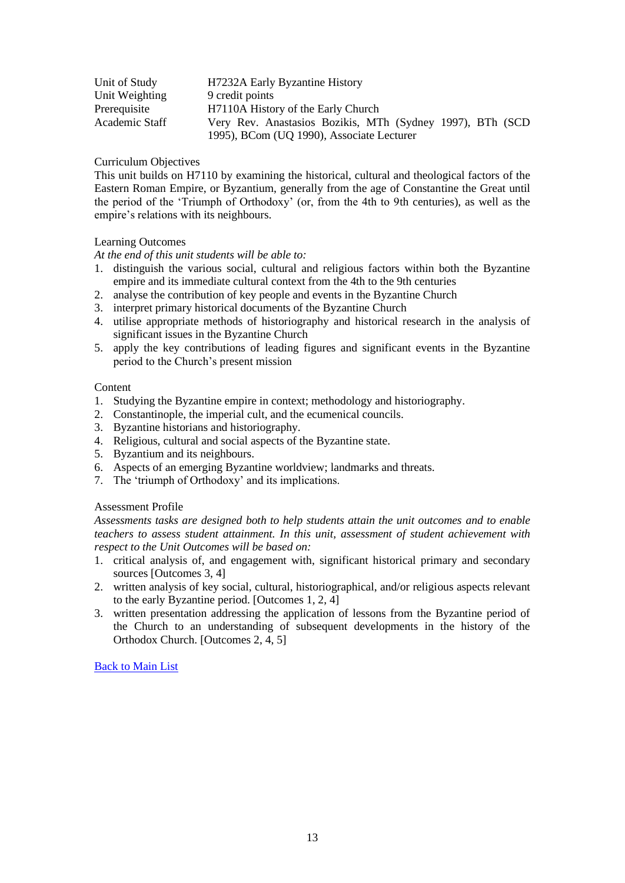| Unit of Study  | H7232A Early Byzantine History                            |
|----------------|-----------------------------------------------------------|
| Unit Weighting | 9 credit points                                           |
| Prerequisite   | H7110A History of the Early Church                        |
| Academic Staff | Very Rev. Anastasios Bozikis, MTh (Sydney 1997), BTh (SCD |
|                | 1995), BCom (UQ 1990), Associate Lecturer                 |

This unit builds on H7110 by examining the historical, cultural and theological factors of the Eastern Roman Empire, or Byzantium, generally from the age of Constantine the Great until the period of the 'Triumph of Orthodoxy' (or, from the 4th to 9th centuries), as well as the empire's relations with its neighbours.

# Learning Outcomes

*At the end of this unit students will be able to:*

- 1. distinguish the various social, cultural and religious factors within both the Byzantine empire and its immediate cultural context from the 4th to the 9th centuries
- 2. analyse the contribution of key people and events in the Byzantine Church
- 3. interpret primary historical documents of the Byzantine Church
- 4. utilise appropriate methods of historiography and historical research in the analysis of significant issues in the Byzantine Church
- 5. apply the key contributions of leading figures and significant events in the Byzantine period to the Church's present mission

## Content

- 1. Studying the Byzantine empire in context; methodology and historiography.
- 2. Constantinople, the imperial cult, and the ecumenical councils.
- 3. Byzantine historians and historiography.
- 4. Religious, cultural and social aspects of the Byzantine state.
- 5. Byzantium and its neighbours.
- 6. Aspects of an emerging Byzantine worldview; landmarks and threats.
- 7. The 'triumph of Orthodoxy' and its implications.

# Assessment Profile

*Assessments tasks are designed both to help students attain the unit outcomes and to enable teachers to assess student attainment. In this unit, assessment of student achievement with respect to the Unit Outcomes will be based on:*

- 1. critical analysis of, and engagement with, significant historical primary and secondary sources [Outcomes 3, 4]
- 2. written analysis of key social, cultural, historiographical, and/or religious aspects relevant to the early Byzantine period. [Outcomes 1, 2, 4]
- <span id="page-12-0"></span>3. written presentation addressing the application of lessons from the Byzantine period of the Church to an understanding of subsequent developments in the history of the Orthodox Church. [Outcomes 2, 4, 5]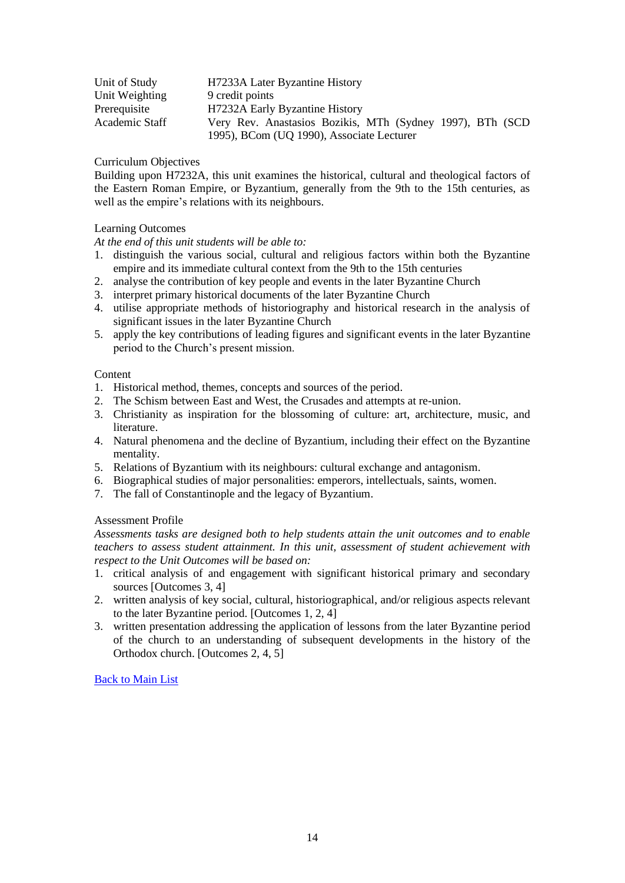| Unit of Study  | H7233A Later Byzantine History                            |
|----------------|-----------------------------------------------------------|
| Unit Weighting | 9 credit points                                           |
| Prerequisite   | H7232A Early Byzantine History                            |
| Academic Staff | Very Rev. Anastasios Bozikis, MTh (Sydney 1997), BTh (SCD |
|                | 1995), BCom (UQ 1990), Associate Lecturer                 |

Building upon H7232A, this unit examines the historical, cultural and theological factors of the Eastern Roman Empire, or Byzantium, generally from the 9th to the 15th centuries, as well as the empire's relations with its neighbours.

# Learning Outcomes

*At the end of this unit students will be able to:*

- 1. distinguish the various social, cultural and religious factors within both the Byzantine empire and its immediate cultural context from the 9th to the 15th centuries
- 2. analyse the contribution of key people and events in the later Byzantine Church
- 3. interpret primary historical documents of the later Byzantine Church
- 4. utilise appropriate methods of historiography and historical research in the analysis of significant issues in the later Byzantine Church
- 5. apply the key contributions of leading figures and significant events in the later Byzantine period to the Church's present mission.

# **Content**

- 1. Historical method, themes, concepts and sources of the period.
- 2. The Schism between East and West, the Crusades and attempts at re-union.
- 3. Christianity as inspiration for the blossoming of culture: art, architecture, music, and literature.
- 4. Natural phenomena and the decline of Byzantium, including their effect on the Byzantine mentality.
- 5. Relations of Byzantium with its neighbours: cultural exchange and antagonism.
- 6. Biographical studies of major personalities: emperors, intellectuals, saints, women.
- 7. The fall of Constantinople and the legacy of Byzantium.

# Assessment Profile

*Assessments tasks are designed both to help students attain the unit outcomes and to enable teachers to assess student attainment. In this unit, assessment of student achievement with respect to the Unit Outcomes will be based on:*

- 1. critical analysis of and engagement with significant historical primary and secondary sources [Outcomes 3, 4]
- 2. written analysis of key social, cultural, historiographical, and/or religious aspects relevant to the later Byzantine period. [Outcomes 1, 2, 4]
- <span id="page-13-0"></span>3. written presentation addressing the application of lessons from the later Byzantine period of the church to an understanding of subsequent developments in the history of the Orthodox church. [Outcomes 2, 4, 5]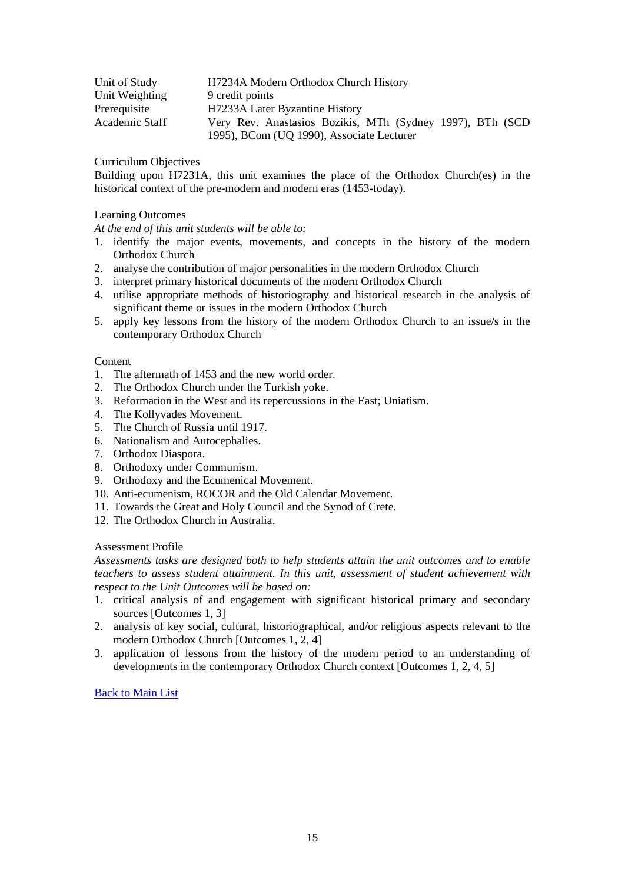| Unit of Study  | H7234A Modern Orthodox Church History                     |
|----------------|-----------------------------------------------------------|
| Unit Weighting | 9 credit points                                           |
| Prerequisite   | H7233A Later Byzantine History                            |
| Academic Staff | Very Rev. Anastasios Bozikis, MTh (Sydney 1997), BTh (SCD |
|                | 1995), BCom (UQ 1990), Associate Lecturer                 |

Building upon H7231A, this unit examines the place of the Orthodox Church(es) in the historical context of the pre-modern and modern eras (1453-today).

# Learning Outcomes

*At the end of this unit students will be able to:*

- 1. identify the major events, movements, and concepts in the history of the modern Orthodox Church
- 2. analyse the contribution of major personalities in the modern Orthodox Church
- 3. interpret primary historical documents of the modern Orthodox Church
- 4. utilise appropriate methods of historiography and historical research in the analysis of significant theme or issues in the modern Orthodox Church
- 5. apply key lessons from the history of the modern Orthodox Church to an issue/s in the contemporary Orthodox Church

## Content

- 1. The aftermath of 1453 and the new world order.
- 2. The Orthodox Church under the Turkish yoke.
- 3. Reformation in the West and its repercussions in the East; Uniatism.
- 4. The Kollyvades Movement.
- 5. The Church of Russia until 1917.
- 6. Nationalism and Autocephalies.
- 7. Orthodox Diaspora.
- 8. Orthodoxy under Communism.
- 9. Orthodoxy and the Ecumenical Movement.
- 10. Anti-ecumenism, ROCOR and the Old Calendar Movement.
- 11. Towards the Great and Holy Council and the Synod of Crete.
- 12. The Orthodox Church in Australia.

# Assessment Profile

*Assessments tasks are designed both to help students attain the unit outcomes and to enable teachers to assess student attainment. In this unit, assessment of student achievement with respect to the Unit Outcomes will be based on:*

- 1. critical analysis of and engagement with significant historical primary and secondary sources [Outcomes 1, 3]
- 2. analysis of key social, cultural, historiographical, and/or religious aspects relevant to the modern Orthodox Church [Outcomes 1, 2, 4]
- <span id="page-14-0"></span>3. application of lessons from the history of the modern period to an understanding of developments in the contemporary Orthodox Church context [Outcomes 1, 2, 4, 5]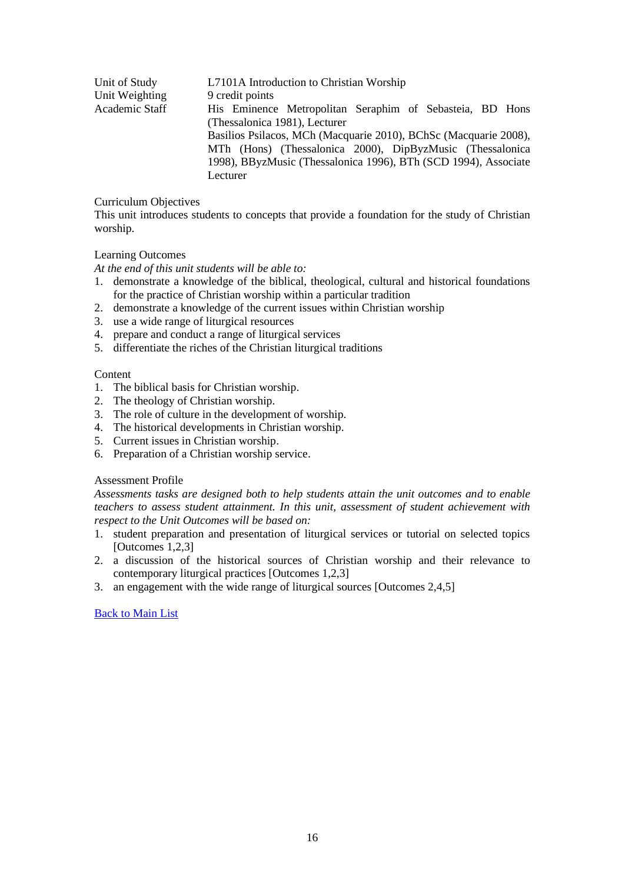| Unit of Study  | L7101A Introduction to Christian Worship                         |
|----------------|------------------------------------------------------------------|
| Unit Weighting | 9 credit points                                                  |
| Academic Staff | His Eminence Metropolitan Seraphim of Sebasteia, BD Hons         |
|                | (Thessalonica 1981), Lecturer                                    |
|                | Basilios Psilacos, MCh (Macquarie 2010), BChSc (Macquarie 2008), |
|                | MTh (Hons) (Thessalonica 2000), DipByzMusic (Thessalonica        |
|                | 1998), BByzMusic (Thessalonica 1996), BTh (SCD 1994), Associate  |
|                | Lecturer                                                         |

This unit introduces students to concepts that provide a foundation for the study of Christian worship.

# Learning Outcomes

*At the end of this unit students will be able to:*

- 1. demonstrate a knowledge of the biblical, theological, cultural and historical foundations for the practice of Christian worship within a particular tradition
- 2. demonstrate a knowledge of the current issues within Christian worship
- 3. use a wide range of liturgical resources
- 4. prepare and conduct a range of liturgical services
- 5. differentiate the riches of the Christian liturgical traditions

# **Content**

- 1. The biblical basis for Christian worship.
- 2. The theology of Christian worship.
- 3. The role of culture in the development of worship.
- 4. The historical developments in Christian worship.
- 5. Current issues in Christian worship.
- 6. Preparation of a Christian worship service.

# Assessment Profile

*Assessments tasks are designed both to help students attain the unit outcomes and to enable teachers to assess student attainment. In this unit, assessment of student achievement with respect to the Unit Outcomes will be based on:*

- 1. student preparation and presentation of liturgical services or tutorial on selected topics [Outcomes 1,2,3]
- 2. a discussion of the historical sources of Christian worship and their relevance to contemporary liturgical practices [Outcomes 1,2,3]
- <span id="page-15-0"></span>3. an engagement with the wide range of liturgical sources [Outcomes 2,4,5]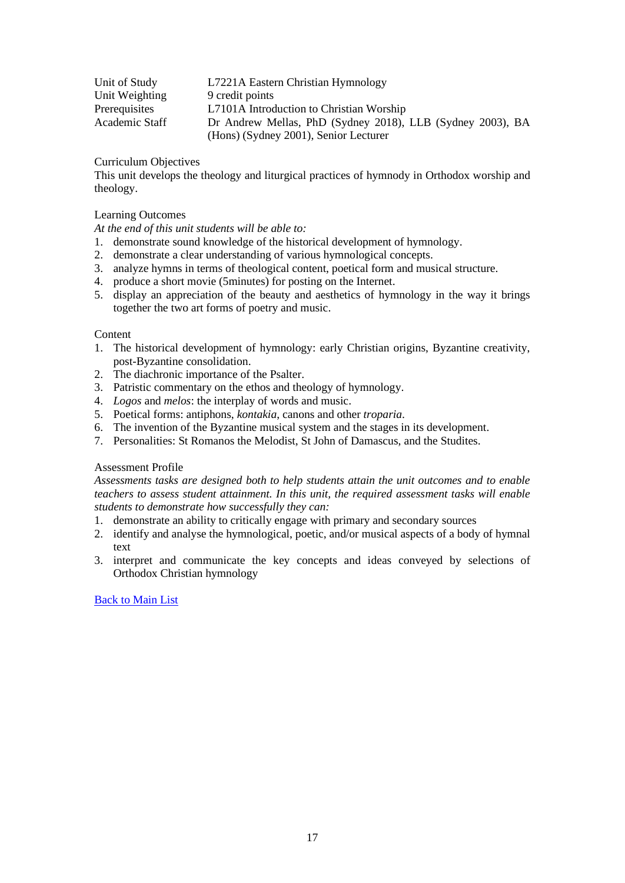| Unit of Study  | L7221A Eastern Christian Hymnology                         |
|----------------|------------------------------------------------------------|
| Unit Weighting | 9 credit points                                            |
| Prerequisites  | L7101A Introduction to Christian Worship                   |
| Academic Staff | Dr Andrew Mellas, PhD (Sydney 2018), LLB (Sydney 2003), BA |
|                | (Hons) (Sydney 2001), Senior Lecturer                      |

This unit develops the theology and liturgical practices of hymnody in Orthodox worship and theology.

## Learning Outcomes

*At the end of this unit students will be able to:*

- 1. demonstrate sound knowledge of the historical development of hymnology.
- 2. demonstrate a clear understanding of various hymnological concepts.
- 3. analyze hymns in terms of theological content, poetical form and musical structure.
- 4. produce a short movie (5minutes) for posting on the Internet.
- 5. display an appreciation of the beauty and aesthetics of hymnology in the way it brings together the two art forms of poetry and music.

#### **Content**

- 1. The historical development of hymnology: early Christian origins, Byzantine creativity, post-Byzantine consolidation.
- 2. The diachronic importance of the Psalter.
- 3. Patristic commentary on the ethos and theology of hymnology.
- 4. *Logos* and *melos*: the interplay of words and music.
- 5. Poetical forms: antiphons, *kontakia*, canons and other *troparia*.
- 6. The invention of the Byzantine musical system and the stages in its development.
- 7. Personalities: St Romanos the Melodist, St John of Damascus, and the Studites.

#### Assessment Profile

*Assessments tasks are designed both to help students attain the unit outcomes and to enable teachers to assess student attainment. In this unit, the required assessment tasks will enable students to demonstrate how successfully they can:*

- 1. demonstrate an ability to critically engage with primary and secondary sources
- 2. identify and analyse the hymnological, poetic, and/or musical aspects of a body of hymnal text
- <span id="page-16-0"></span>3. interpret and communicate the key concepts and ideas conveyed by selections of Orthodox Christian hymnology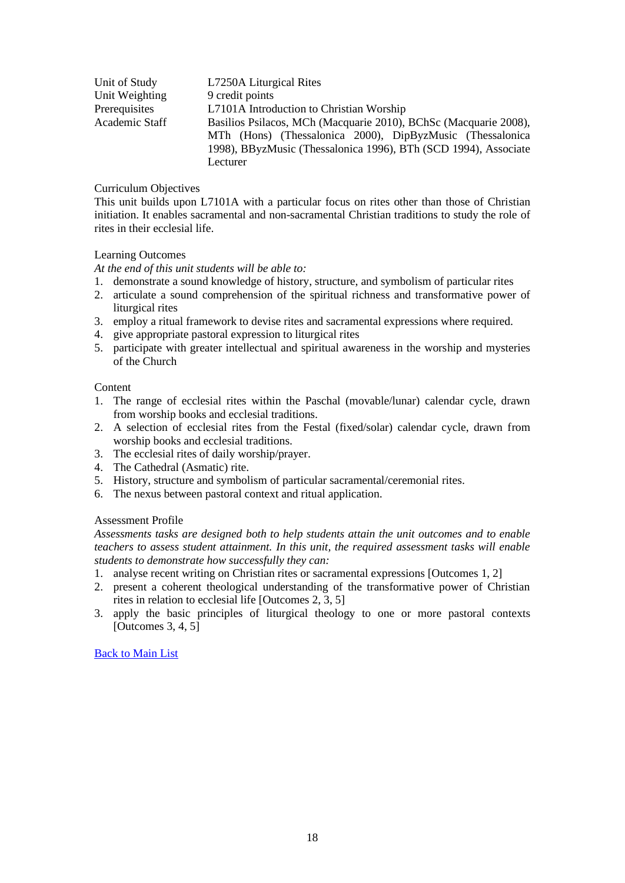| Unit of Study  | L7250A Liturgical Rites                                          |
|----------------|------------------------------------------------------------------|
| Unit Weighting | 9 credit points                                                  |
| Prerequisites  | L7101A Introduction to Christian Worship                         |
| Academic Staff | Basilios Psilacos, MCh (Macquarie 2010), BChSc (Macquarie 2008), |
|                | MTh (Hons) (Thessalonica 2000), DipByzMusic (Thessalonica        |
|                | 1998), BByzMusic (Thessalonica 1996), BTh (SCD 1994), Associate  |
|                | Lecturer                                                         |

This unit builds upon L7101A with a particular focus on rites other than those of Christian initiation. It enables sacramental and non-sacramental Christian traditions to study the role of rites in their ecclesial life.

# Learning Outcomes

*At the end of this unit students will be able to:*

- 1. demonstrate a sound knowledge of history, structure, and symbolism of particular rites
- 2. articulate a sound comprehension of the spiritual richness and transformative power of liturgical rites
- 3. employ a ritual framework to devise rites and sacramental expressions where required.
- 4. give appropriate pastoral expression to liturgical rites
- 5. participate with greater intellectual and spiritual awareness in the worship and mysteries of the Church

# Content

- 1. The range of ecclesial rites within the Paschal (movable/lunar) calendar cycle, drawn from worship books and ecclesial traditions.
- 2. A selection of ecclesial rites from the Festal (fixed/solar) calendar cycle, drawn from worship books and ecclesial traditions.
- 3. The ecclesial rites of daily worship/prayer.
- 4. The Cathedral (Asmatic) rite.
- 5. History, structure and symbolism of particular sacramental/ceremonial rites.
- 6. The nexus between pastoral context and ritual application.

# Assessment Profile

*Assessments tasks are designed both to help students attain the unit outcomes and to enable teachers to assess student attainment. In this unit, the required assessment tasks will enable students to demonstrate how successfully they can:*

- 1. analyse recent writing on Christian rites or sacramental expressions [Outcomes 1, 2]
- 2. present a coherent theological understanding of the transformative power of Christian rites in relation to ecclesial life [Outcomes 2, 3, 5]
- <span id="page-17-0"></span>3. apply the basic principles of liturgical theology to one or more pastoral contexts [Outcomes 3, 4, 5]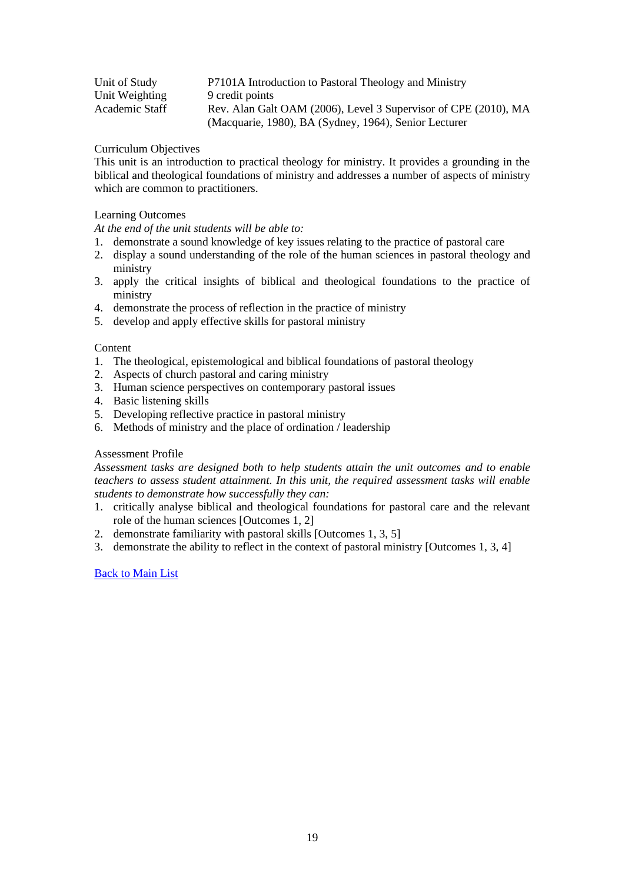| Unit of Study  | P7101A Introduction to Pastoral Theology and Ministry           |
|----------------|-----------------------------------------------------------------|
| Unit Weighting | 9 credit points                                                 |
| Academic Staff | Rev. Alan Galt OAM (2006), Level 3 Supervisor of CPE (2010), MA |
|                | (Macquarie, 1980), BA (Sydney, 1964), Senior Lecturer           |

This unit is an introduction to practical theology for ministry. It provides a grounding in the biblical and theological foundations of ministry and addresses a number of aspects of ministry which are common to practitioners.

# Learning Outcomes

*At the end of the unit students will be able to:*

- 1. demonstrate a sound knowledge of key issues relating to the practice of pastoral care
- 2. display a sound understanding of the role of the human sciences in pastoral theology and ministry
- 3. apply the critical insights of biblical and theological foundations to the practice of ministry
- 4. demonstrate the process of reflection in the practice of ministry
- 5. develop and apply effective skills for pastoral ministry

# **Content**

- 1. The theological, epistemological and biblical foundations of pastoral theology
- 2. Aspects of church pastoral and caring ministry
- 3. Human science perspectives on contemporary pastoral issues
- 4. Basic listening skills
- 5. Developing reflective practice in pastoral ministry
- 6. Methods of ministry and the place of ordination / leadership

# Assessment Profile

*Assessment tasks are designed both to help students attain the unit outcomes and to enable teachers to assess student attainment. In this unit, the required assessment tasks will enable students to demonstrate how successfully they can:*

- 1. critically analyse biblical and theological foundations for pastoral care and the relevant role of the human sciences [Outcomes 1, 2]
- 2. demonstrate familiarity with pastoral skills [Outcomes 1, 3, 5]
- <span id="page-18-0"></span>3. demonstrate the ability to reflect in the context of pastoral ministry [Outcomes 1, 3, 4]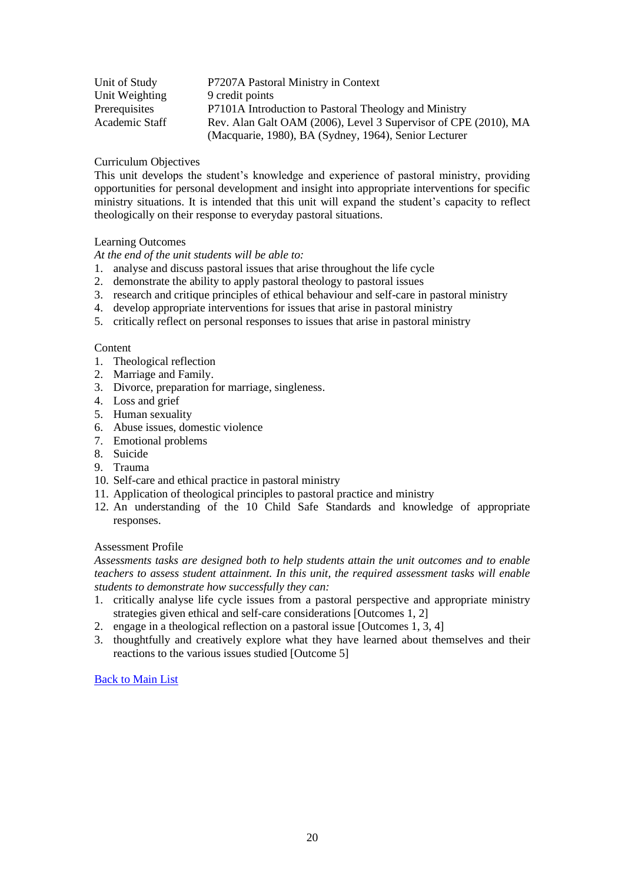| Unit of Study  | P7207A Pastoral Ministry in Context                             |
|----------------|-----------------------------------------------------------------|
| Unit Weighting | 9 credit points                                                 |
| Prerequisites  | P7101A Introduction to Pastoral Theology and Ministry           |
| Academic Staff | Rev. Alan Galt OAM (2006), Level 3 Supervisor of CPE (2010), MA |
|                | (Macquarie, 1980), BA (Sydney, 1964), Senior Lecturer           |

This unit develops the student's knowledge and experience of pastoral ministry, providing opportunities for personal development and insight into appropriate interventions for specific ministry situations. It is intended that this unit will expand the student's capacity to reflect theologically on their response to everyday pastoral situations.

# Learning Outcomes

*At the end of the unit students will be able to:*

- 1. analyse and discuss pastoral issues that arise throughout the life cycle
- 2. demonstrate the ability to apply pastoral theology to pastoral issues
- 3. research and critique principles of ethical behaviour and self-care in pastoral ministry
- 4. develop appropriate interventions for issues that arise in pastoral ministry
- 5. critically reflect on personal responses to issues that arise in pastoral ministry

# Content

- 1. Theological reflection
- 2. Marriage and Family.
- 3. Divorce, preparation for marriage, singleness.
- 4. Loss and grief
- 5. Human sexuality
- 6. Abuse issues, domestic violence
- 7. Emotional problems
- 8. Suicide
- 9. Trauma
- 10. Self-care and ethical practice in pastoral ministry
- 11. Application of theological principles to pastoral practice and ministry
- 12. An understanding of the 10 Child Safe Standards and knowledge of appropriate responses.

# Assessment Profile

*Assessments tasks are designed both to help students attain the unit outcomes and to enable teachers to assess student attainment. In this unit, the required assessment tasks will enable students to demonstrate how successfully they can:*

- 1. critically analyse life cycle issues from a pastoral perspective and appropriate ministry strategies given ethical and self-care considerations [Outcomes 1, 2]
- 2. engage in a theological reflection on a pastoral issue [Outcomes 1, 3, 4]
- <span id="page-19-0"></span>3. thoughtfully and creatively explore what they have learned about themselves and their reactions to the various issues studied [Outcome 5]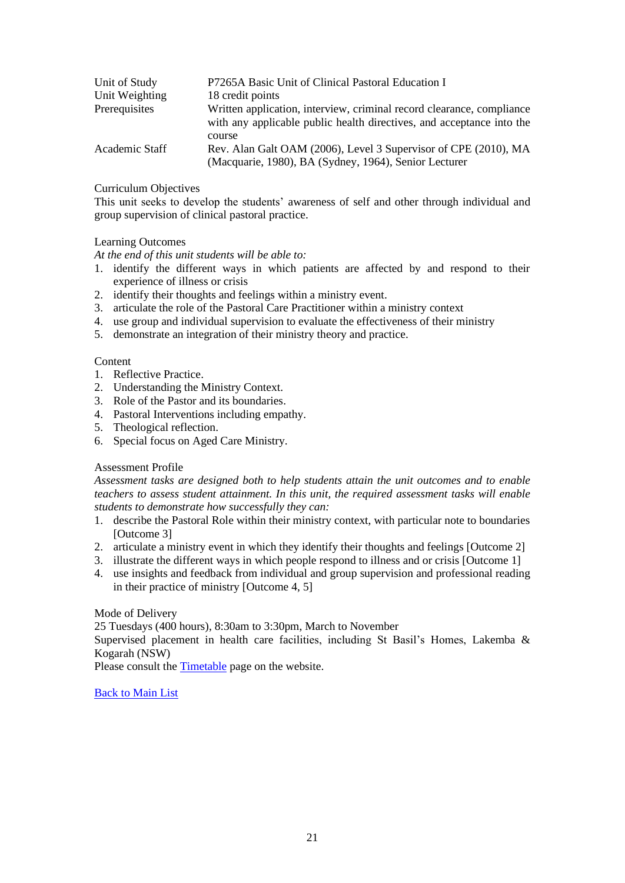| Unit of Study  | P7265A Basic Unit of Clinical Pastoral Education I                                                                                             |
|----------------|------------------------------------------------------------------------------------------------------------------------------------------------|
| Unit Weighting | 18 credit points                                                                                                                               |
| Prerequisites  | Written application, interview, criminal record clearance, compliance<br>with any applicable public health directives, and acceptance into the |
|                | course                                                                                                                                         |
| Academic Staff | Rev. Alan Galt OAM (2006), Level 3 Supervisor of CPE (2010), MA                                                                                |
|                | (Macquarie, 1980), BA (Sydney, 1964), Senior Lecturer                                                                                          |

This unit seeks to develop the students' awareness of self and other through individual and group supervision of clinical pastoral practice.

## Learning Outcomes

*At the end of this unit students will be able to:*

- 1. identify the different ways in which patients are affected by and respond to their experience of illness or crisis
- 2. identify their thoughts and feelings within a ministry event.
- 3. articulate the role of the Pastoral Care Practitioner within a ministry context
- 4. use group and individual supervision to evaluate the effectiveness of their ministry
- 5. demonstrate an integration of their ministry theory and practice.

## **Content**

- 1. Reflective Practice.
- 2. Understanding the Ministry Context.
- 3. Role of the Pastor and its boundaries.
- 4. Pastoral Interventions including empathy.
- 5. Theological reflection.
- 6. Special focus on Aged Care Ministry.

# Assessment Profile

*Assessment tasks are designed both to help students attain the unit outcomes and to enable teachers to assess student attainment. In this unit, the required assessment tasks will enable students to demonstrate how successfully they can:*

- 1. describe the Pastoral Role within their ministry context, with particular note to boundaries [Outcome 3]
- 2. articulate a ministry event in which they identify their thoughts and feelings [Outcome 2]
- 3. illustrate the different ways in which people respond to illness and or crisis [Outcome 1]
- 4. use insights and feedback from individual and group supervision and professional reading in their practice of ministry [Outcome 4, 5]

# Mode of Delivery

25 Tuesdays (400 hours), 8:30am to 3:30pm, March to November

Supervised placement in health care facilities, including St Basil's Homes, Lakemba & Kogarah (NSW)

<span id="page-20-0"></span>Please consult the [Timetable](http://www.sagotc.edu.au/studies/timetables) page on the website.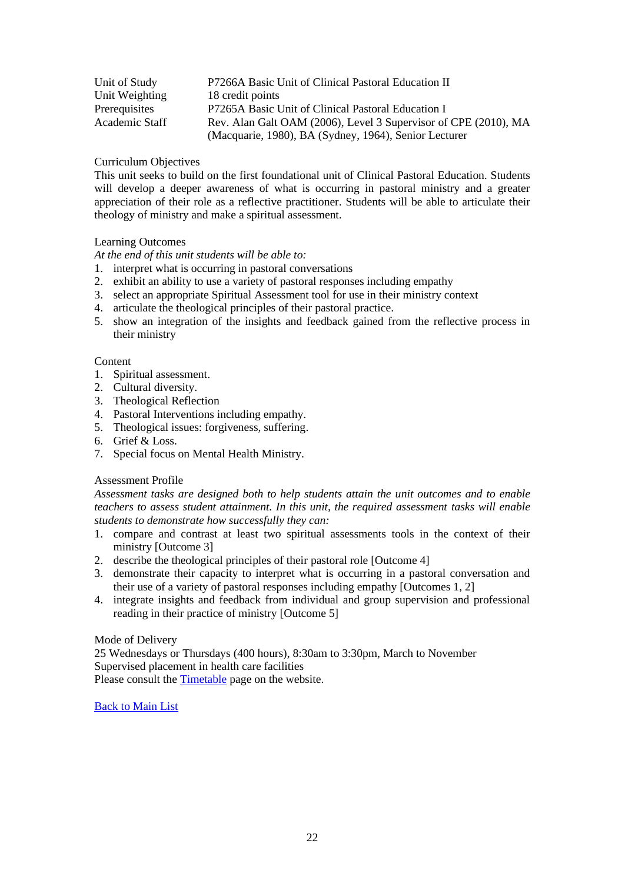| Unit of Study  | P7266A Basic Unit of Clinical Pastoral Education II             |
|----------------|-----------------------------------------------------------------|
| Unit Weighting | 18 credit points                                                |
| Prerequisites  | P7265A Basic Unit of Clinical Pastoral Education I              |
| Academic Staff | Rev. Alan Galt OAM (2006), Level 3 Supervisor of CPE (2010), MA |
|                | (Macquarie, 1980), BA (Sydney, 1964), Senior Lecturer           |

This unit seeks to build on the first foundational unit of Clinical Pastoral Education. Students will develop a deeper awareness of what is occurring in pastoral ministry and a greater appreciation of their role as a reflective practitioner. Students will be able to articulate their theology of ministry and make a spiritual assessment.

# Learning Outcomes

*At the end of this unit students will be able to:*

- 1. interpret what is occurring in pastoral conversations
- 2. exhibit an ability to use a variety of pastoral responses including empathy
- 3. select an appropriate Spiritual Assessment tool for use in their ministry context
- 4. articulate the theological principles of their pastoral practice.
- 5. show an integration of the insights and feedback gained from the reflective process in their ministry

# **Content**

- 1. Spiritual assessment.
- 2. Cultural diversity.
- 3. Theological Reflection
- 4. Pastoral Interventions including empathy.
- 5. Theological issues: forgiveness, suffering.
- 6. Grief & Loss.
- 7. Special focus on Mental Health Ministry.

# Assessment Profile

*Assessment tasks are designed both to help students attain the unit outcomes and to enable teachers to assess student attainment. In this unit, the required assessment tasks will enable students to demonstrate how successfully they can:*

- 1. compare and contrast at least two spiritual assessments tools in the context of their ministry [Outcome 3]
- 2. describe the theological principles of their pastoral role [Outcome 4]
- 3. demonstrate their capacity to interpret what is occurring in a pastoral conversation and their use of a variety of pastoral responses including empathy [Outcomes 1, 2]
- 4. integrate insights and feedback from individual and group supervision and professional reading in their practice of ministry [Outcome 5]

# Mode of Delivery

<span id="page-21-0"></span>25 Wednesdays or Thursdays (400 hours), 8:30am to 3:30pm, March to November Supervised placement in health care facilities Please consult the [Timetable](http://www.sagotc.edu.au/studies/timetables) page on the website.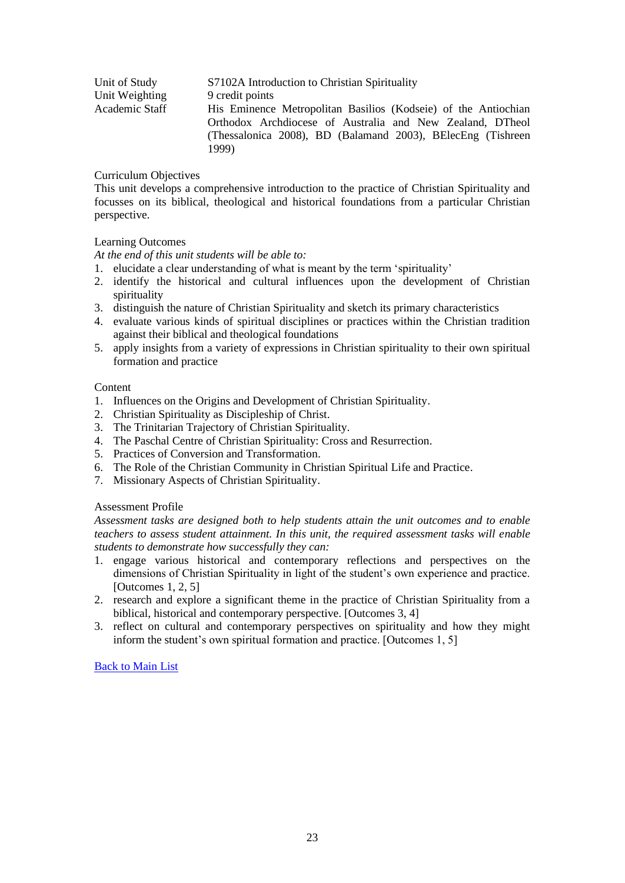| Unit of Study  | S7102A Introduction to Christian Spirituality                                                                                                                                                       |
|----------------|-----------------------------------------------------------------------------------------------------------------------------------------------------------------------------------------------------|
| Unit Weighting | 9 credit points                                                                                                                                                                                     |
| Academic Staff | His Eminence Metropolitan Basilios (Kodseie) of the Antiochian<br>Orthodox Archdiocese of Australia and New Zealand, DTheol<br>(Thessalonica 2008), BD (Balamand 2003), BElecEng (Tishreen<br>1999) |

This unit develops a comprehensive introduction to the practice of Christian Spirituality and focusses on its biblical, theological and historical foundations from a particular Christian perspective.

# Learning Outcomes

*At the end of this unit students will be able to:*

- 1. elucidate a clear understanding of what is meant by the term 'spirituality'
- 2. identify the historical and cultural influences upon the development of Christian spirituality
- 3. distinguish the nature of Christian Spirituality and sketch its primary characteristics
- 4. evaluate various kinds of spiritual disciplines or practices within the Christian tradition against their biblical and theological foundations
- 5. apply insights from a variety of expressions in Christian spirituality to their own spiritual formation and practice

# Content

- 1. Influences on the Origins and Development of Christian Spirituality.
- 2. Christian Spirituality as Discipleship of Christ.
- 3. The Trinitarian Trajectory of Christian Spirituality.
- 4. The Paschal Centre of Christian Spirituality: Cross and Resurrection.
- 5. Practices of Conversion and Transformation.
- 6. The Role of the Christian Community in Christian Spiritual Life and Practice.
- 7. Missionary Aspects of Christian Spirituality.

# Assessment Profile

*Assessment tasks are designed both to help students attain the unit outcomes and to enable teachers to assess student attainment. In this unit, the required assessment tasks will enable students to demonstrate how successfully they can:*

- 1. engage various historical and contemporary reflections and perspectives on the dimensions of Christian Spirituality in light of the student's own experience and practice. [Outcomes 1, 2, 5]
- 2. research and explore a significant theme in the practice of Christian Spirituality from a biblical, historical and contemporary perspective. [Outcomes 3, 4]
- <span id="page-22-0"></span>3. reflect on cultural and contemporary perspectives on spirituality and how they might inform the student's own spiritual formation and practice. [Outcomes 1, 5]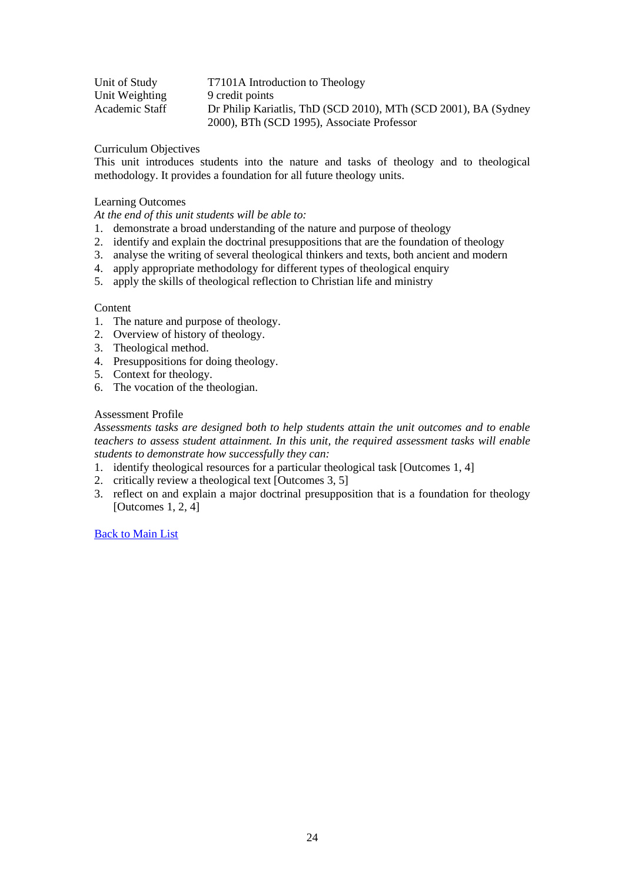| Unit of Study  | T7101A Introduction to Theology                                 |
|----------------|-----------------------------------------------------------------|
| Unit Weighting | 9 credit points                                                 |
| Academic Staff | Dr Philip Kariatlis, ThD (SCD 2010), MTh (SCD 2001), BA (Sydney |
|                | 2000), BTh (SCD 1995), Associate Professor                      |

This unit introduces students into the nature and tasks of theology and to theological methodology. It provides a foundation for all future theology units.

# Learning Outcomes

*At the end of this unit students will be able to:*

- 1. demonstrate a broad understanding of the nature and purpose of theology
- 2. identify and explain the doctrinal presuppositions that are the foundation of theology
- 3. analyse the writing of several theological thinkers and texts, both ancient and modern
- 4. apply appropriate methodology for different types of theological enquiry
- 5. apply the skills of theological reflection to Christian life and ministry

## Content

- 1. The nature and purpose of theology.
- 2. Overview of history of theology.
- 3. Theological method.
- 4. Presuppositions for doing theology.
- 5. Context for theology.
- 6. The vocation of the theologian.

## Assessment Profile

*Assessments tasks are designed both to help students attain the unit outcomes and to enable teachers to assess student attainment. In this unit, the required assessment tasks will enable students to demonstrate how successfully they can:*

- 1. identify theological resources for a particular theological task [Outcomes 1, 4]
- 2. critically review a theological text [Outcomes 3, 5]
- <span id="page-23-0"></span>3. reflect on and explain a major doctrinal presupposition that is a foundation for theology [Outcomes 1, 2, 4]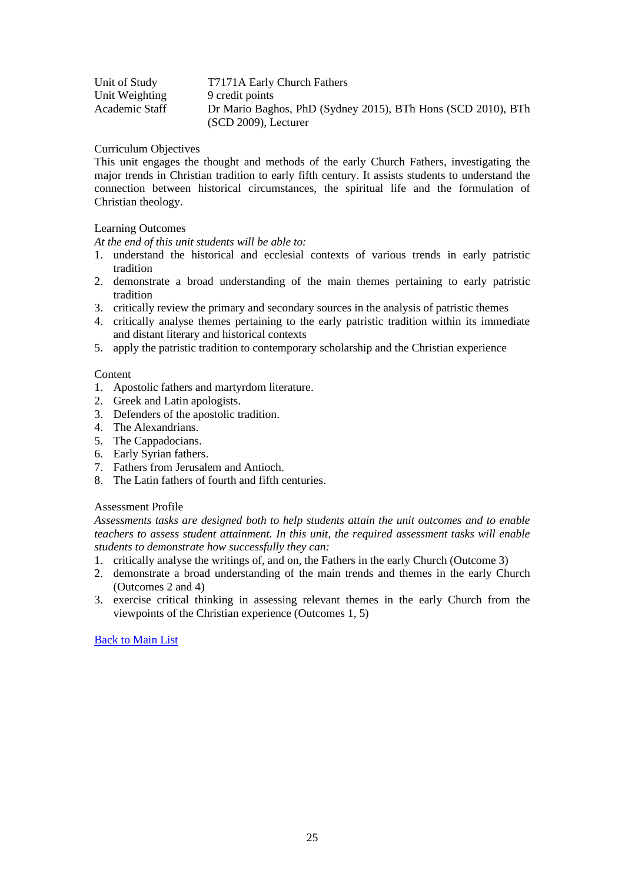| Unit of Study  | T7171A Early Church Fathers                                  |
|----------------|--------------------------------------------------------------|
| Unit Weighting | 9 credit points                                              |
| Academic Staff | Dr Mario Baghos, PhD (Sydney 2015), BTh Hons (SCD 2010), BTh |
|                | $(SCD 2009)$ , Lecturer                                      |

This unit engages the thought and methods of the early Church Fathers, investigating the major trends in Christian tradition to early fifth century. It assists students to understand the connection between historical circumstances, the spiritual life and the formulation of Christian theology.

# Learning Outcomes

*At the end of this unit students will be able to:*

- 1. understand the historical and ecclesial contexts of various trends in early patristic tradition
- 2. demonstrate a broad understanding of the main themes pertaining to early patristic tradition
- 3. critically review the primary and secondary sources in the analysis of patristic themes
- 4. critically analyse themes pertaining to the early patristic tradition within its immediate and distant literary and historical contexts
- 5. apply the patristic tradition to contemporary scholarship and the Christian experience

# **Content**

- 1. Apostolic fathers and martyrdom literature.
- 2. Greek and Latin apologists.
- 3. Defenders of the apostolic tradition.
- 4. The Alexandrians.
- 5. The Cappadocians.
- 6. Early Syrian fathers.
- 7. Fathers from Jerusalem and Antioch.
- 8. The Latin fathers of fourth and fifth centuries.

# Assessment Profile

*Assessments tasks are designed both to help students attain the unit outcomes and to enable teachers to assess student attainment. In this unit, the required assessment tasks will enable students to demonstrate how successfully they can:*

- 1. critically analyse the writings of, and on, the Fathers in the early Church (Outcome 3)
- 2. demonstrate a broad understanding of the main trends and themes in the early Church (Outcomes 2 and 4)
- <span id="page-24-0"></span>3. exercise critical thinking in assessing relevant themes in the early Church from the viewpoints of the Christian experience (Outcomes 1, 5)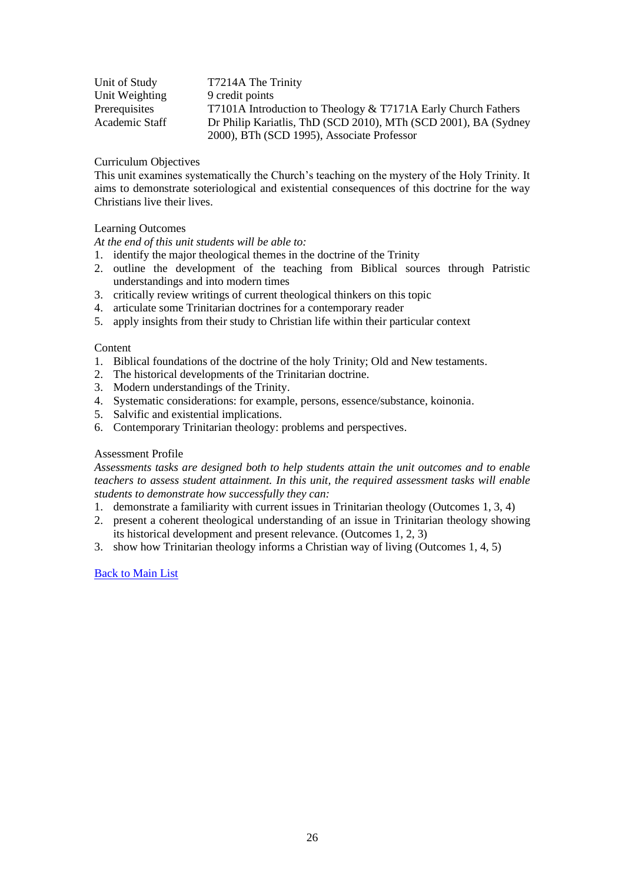| Unit of Study  | T7214A The Trinity                                              |
|----------------|-----------------------------------------------------------------|
| Unit Weighting | 9 credit points                                                 |
| Prerequisites  | T7101A Introduction to Theology & T7171A Early Church Fathers   |
| Academic Staff | Dr Philip Kariatlis, ThD (SCD 2010), MTh (SCD 2001), BA (Sydney |
|                | 2000), BTh (SCD 1995), Associate Professor                      |

This unit examines systematically the Church's teaching on the mystery of the Holy Trinity. It aims to demonstrate soteriological and existential consequences of this doctrine for the way Christians live their lives.

# Learning Outcomes

*At the end of this unit students will be able to:*

- 1. identify the major theological themes in the doctrine of the Trinity
- 2. outline the development of the teaching from Biblical sources through Patristic understandings and into modern times
- 3. critically review writings of current theological thinkers on this topic
- 4. articulate some Trinitarian doctrines for a contemporary reader
- 5. apply insights from their study to Christian life within their particular context

## Content

- 1. Biblical foundations of the doctrine of the holy Trinity; Old and New testaments.
- 2. The historical developments of the Trinitarian doctrine.
- 3. Modern understandings of the Trinity.
- 4. Systematic considerations: for example, persons, essence/substance, koinonia.
- 5. Salvific and existential implications.
- 6. Contemporary Trinitarian theology: problems and perspectives.

# Assessment Profile

*Assessments tasks are designed both to help students attain the unit outcomes and to enable teachers to assess student attainment. In this unit, the required assessment tasks will enable students to demonstrate how successfully they can:*

- 1. demonstrate a familiarity with current issues in Trinitarian theology (Outcomes 1, 3, 4)
- 2. present a coherent theological understanding of an issue in Trinitarian theology showing its historical development and present relevance. (Outcomes 1, 2, 3)
- <span id="page-25-0"></span>3. show how Trinitarian theology informs a Christian way of living (Outcomes 1, 4, 5)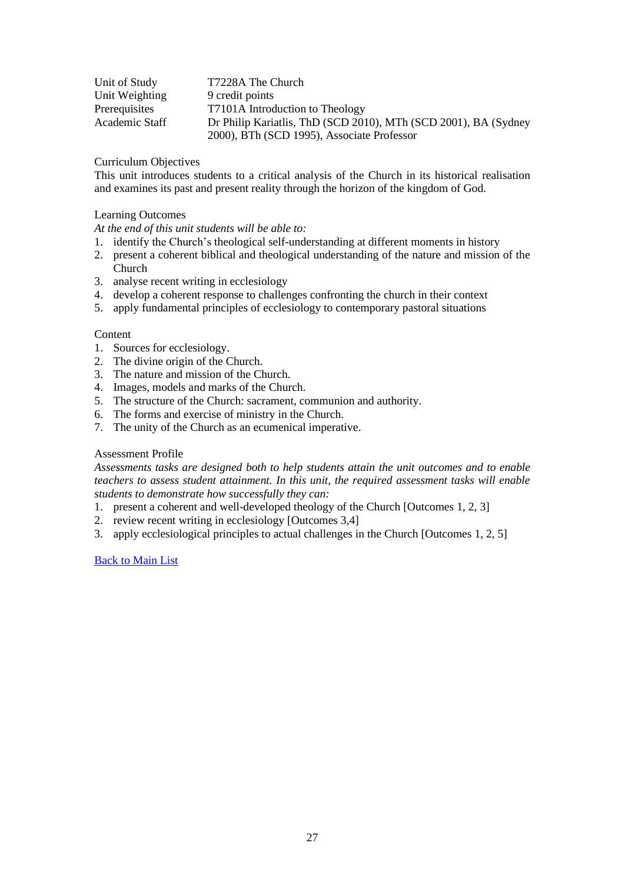| Unit of Study  | T7228A The Church                                               |
|----------------|-----------------------------------------------------------------|
| Unit Weighting | 9 credit points                                                 |
| Prerequisites  | T7101A Introduction to Theology                                 |
| Academic Staff | Dr Philip Kariatlis, ThD (SCD 2010), MTh (SCD 2001), BA (Sydney |
|                | 2000), BTh (SCD 1995), Associate Professor                      |

This unit introduces students to a critical analysis of the Church in its historical realisation and examines its past and present reality through the horizon of the kingdom of God.

# Learning Outcomes

*At the end of this unit students will be able to:*

- 1. identify the Church's theological self-understanding at different moments in history
- 2. present a coherent biblical and theological understanding of the nature and mission of the Church
- 3. analyse recent writing in ecclesiology
- 4. develop a coherent response to challenges confronting the church in their context
- 5. apply fundamental principles of ecclesiology to contemporary pastoral situations

# **Content**

- 1. Sources for ecclesiology.
- 2. The divine origin of the Church.
- 3. The nature and mission of the Church.
- 4. Images, models and marks of the Church.
- 5. The structure of the Church: sacrament, communion and authority.
- 6. The forms and exercise of ministry in the Church.
- 7. The unity of the Church as an ecumenical imperative.

# Assessment Profile

*Assessments tasks are designed both to help students attain the unit outcomes and to enable teachers to assess student attainment. In this unit, the required assessment tasks will enable students to demonstrate how successfully they can:* 

- 1. present a coherent and well-developed theology of the Church [Outcomes 1, 2, 3]
- 2. review recent writing in ecclesiology [Outcomes 3,4]
- <span id="page-26-0"></span>3. apply ecclesiological principles to actual challenges in the Church [Outcomes 1, 2, 5]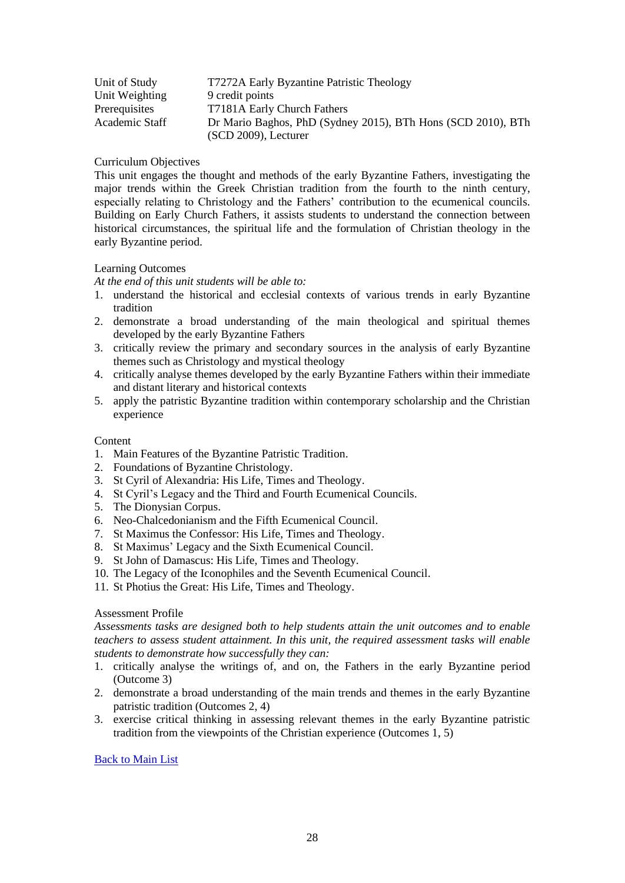| Unit of Study  | T7272A Early Byzantine Patristic Theology                    |
|----------------|--------------------------------------------------------------|
| Unit Weighting | 9 credit points                                              |
| Prerequisites  | T7181A Early Church Fathers                                  |
| Academic Staff | Dr Mario Baghos, PhD (Sydney 2015), BTh Hons (SCD 2010), BTh |
|                | $(SCD 2009)$ , Lecturer                                      |

This unit engages the thought and methods of the early Byzantine Fathers, investigating the major trends within the Greek Christian tradition from the fourth to the ninth century, especially relating to Christology and the Fathers' contribution to the ecumenical councils. Building on Early Church Fathers, it assists students to understand the connection between historical circumstances, the spiritual life and the formulation of Christian theology in the early Byzantine period.

# Learning Outcomes

*At the end of this unit students will be able to:*

- 1. understand the historical and ecclesial contexts of various trends in early Byzantine tradition
- 2. demonstrate a broad understanding of the main theological and spiritual themes developed by the early Byzantine Fathers
- 3. critically review the primary and secondary sources in the analysis of early Byzantine themes such as Christology and mystical theology
- 4. critically analyse themes developed by the early Byzantine Fathers within their immediate and distant literary and historical contexts
- 5. apply the patristic Byzantine tradition within contemporary scholarship and the Christian experience

#### Content

- 1. Main Features of the Byzantine Patristic Tradition.
- 2. Foundations of Byzantine Christology.
- 3. St Cyril of Alexandria: His Life, Times and Theology.
- 4. St Cyril's Legacy and the Third and Fourth Ecumenical Councils.
- 5. The Dionysian Corpus.
- 6. Neo-Chalcedonianism and the Fifth Ecumenical Council.
- 7. St Maximus the Confessor: His Life, Times and Theology.
- 8. St Maximus' Legacy and the Sixth Ecumenical Council.
- 9. St John of Damascus: His Life, Times and Theology.
- 10. The Legacy of the Iconophiles and the Seventh Ecumenical Council.
- 11. St Photius the Great: His Life, Times and Theology.

# Assessment Profile

*Assessments tasks are designed both to help students attain the unit outcomes and to enable teachers to assess student attainment. In this unit, the required assessment tasks will enable students to demonstrate how successfully they can:*

- 1. critically analyse the writings of, and on, the Fathers in the early Byzantine period (Outcome 3)
- 2. demonstrate a broad understanding of the main trends and themes in the early Byzantine patristic tradition (Outcomes 2, 4)
- <span id="page-27-0"></span>3. exercise critical thinking in assessing relevant themes in the early Byzantine patristic tradition from the viewpoints of the Christian experience (Outcomes 1, 5)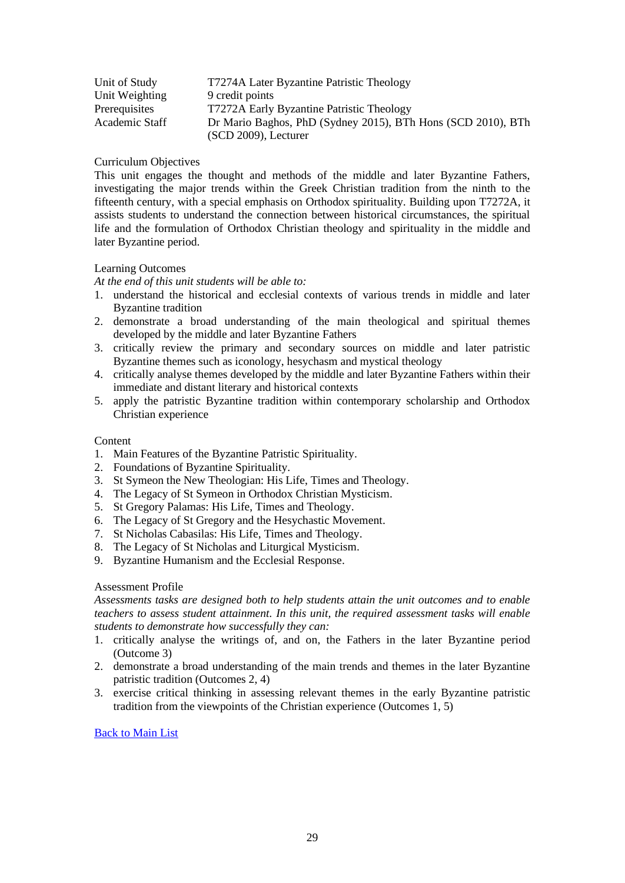| Unit of Study  | T7274A Later Byzantine Patristic Theology                    |
|----------------|--------------------------------------------------------------|
| Unit Weighting | 9 credit points                                              |
| Prerequisites  | T7272A Early Byzantine Patristic Theology                    |
| Academic Staff | Dr Mario Baghos, PhD (Sydney 2015), BTh Hons (SCD 2010), BTh |
|                | $(SCD 2009)$ , Lecturer                                      |

This unit engages the thought and methods of the middle and later Byzantine Fathers, investigating the major trends within the Greek Christian tradition from the ninth to the fifteenth century, with a special emphasis on Orthodox spirituality. Building upon T7272A, it assists students to understand the connection between historical circumstances, the spiritual life and the formulation of Orthodox Christian theology and spirituality in the middle and later Byzantine period.

# Learning Outcomes

*At the end of this unit students will be able to:*

- 1. understand the historical and ecclesial contexts of various trends in middle and later Byzantine tradition
- 2. demonstrate a broad understanding of the main theological and spiritual themes developed by the middle and later Byzantine Fathers
- 3. critically review the primary and secondary sources on middle and later patristic Byzantine themes such as iconology, hesychasm and mystical theology
- 4. critically analyse themes developed by the middle and later Byzantine Fathers within their immediate and distant literary and historical contexts
- 5. apply the patristic Byzantine tradition within contemporary scholarship and Orthodox Christian experience

### **Content**

- 1. Main Features of the Byzantine Patristic Spirituality.
- 2. Foundations of Byzantine Spirituality.
- 3. St Symeon the New Theologian: His Life, Times and Theology.
- 4. The Legacy of St Symeon in Orthodox Christian Mysticism.
- 5. St Gregory Palamas: His Life, Times and Theology.
- 6. The Legacy of St Gregory and the Hesychastic Movement.
- 7. St Nicholas Cabasilas: His Life, Times and Theology.
- 8. The Legacy of St Nicholas and Liturgical Mysticism.
- 9. Byzantine Humanism and the Ecclesial Response.

#### Assessment Profile

*Assessments tasks are designed both to help students attain the unit outcomes and to enable teachers to assess student attainment. In this unit, the required assessment tasks will enable students to demonstrate how successfully they can:*

- 1. critically analyse the writings of, and on, the Fathers in the later Byzantine period (Outcome 3)
- 2. demonstrate a broad understanding of the main trends and themes in the later Byzantine patristic tradition (Outcomes 2, 4)
- <span id="page-28-0"></span>3. exercise critical thinking in assessing relevant themes in the early Byzantine patristic tradition from the viewpoints of the Christian experience (Outcomes 1, 5)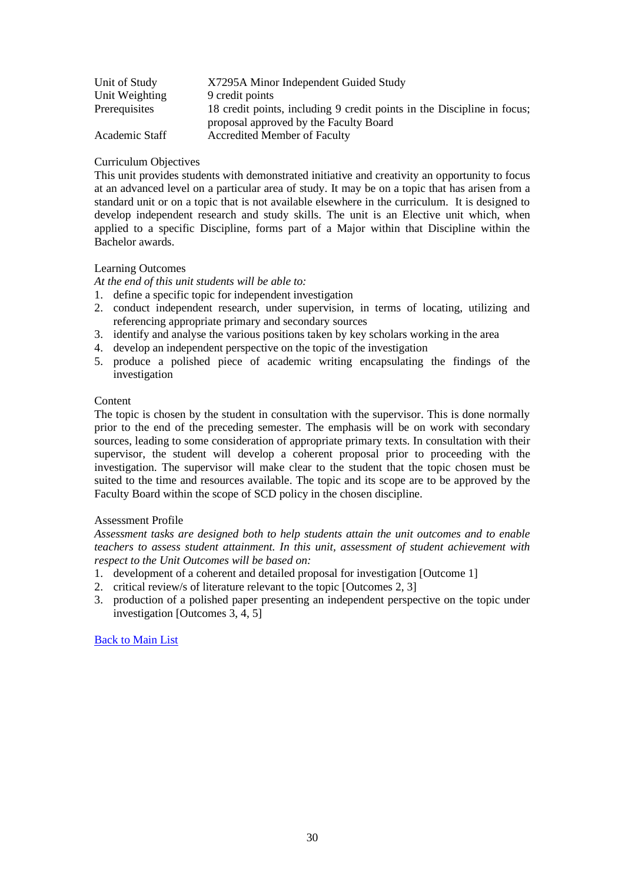| Unit of Study  | X7295A Minor Independent Guided Study                                                                             |
|----------------|-------------------------------------------------------------------------------------------------------------------|
| Unit Weighting | 9 credit points                                                                                                   |
| Prerequisites  | 18 credit points, including 9 credit points in the Discipline in focus;<br>proposal approved by the Faculty Board |
| Academic Staff | <b>Accredited Member of Faculty</b>                                                                               |

This unit provides students with demonstrated initiative and creativity an opportunity to focus at an advanced level on a particular area of study. It may be on a topic that has arisen from a standard unit or on a topic that is not available elsewhere in the curriculum. It is designed to develop independent research and study skills. The unit is an Elective unit which, when applied to a specific Discipline, forms part of a Major within that Discipline within the Bachelor awards.

# Learning Outcomes

*At the end of this unit students will be able to:*

- 1. define a specific topic for independent investigation
- 2. conduct independent research, under supervision, in terms of locating, utilizing and referencing appropriate primary and secondary sources
- 3. identify and analyse the various positions taken by key scholars working in the area
- 4. develop an independent perspective on the topic of the investigation
- 5. produce a polished piece of academic writing encapsulating the findings of the investigation

#### **Content**

The topic is chosen by the student in consultation with the supervisor. This is done normally prior to the end of the preceding semester. The emphasis will be on work with secondary sources, leading to some consideration of appropriate primary texts. In consultation with their supervisor, the student will develop a coherent proposal prior to proceeding with the investigation. The supervisor will make clear to the student that the topic chosen must be suited to the time and resources available. The topic and its scope are to be approved by the Faculty Board within the scope of SCD policy in the chosen discipline.

# Assessment Profile

*Assessment tasks are designed both to help students attain the unit outcomes and to enable teachers to assess student attainment. In this unit, assessment of student achievement with respect to the Unit Outcomes will be based on:*

- 1. development of a coherent and detailed proposal for investigation [Outcome 1]
- 2. critical review/s of literature relevant to the topic [Outcomes 2, 3]
- <span id="page-29-0"></span>3. production of a polished paper presenting an independent perspective on the topic under investigation [Outcomes 3, 4, 5]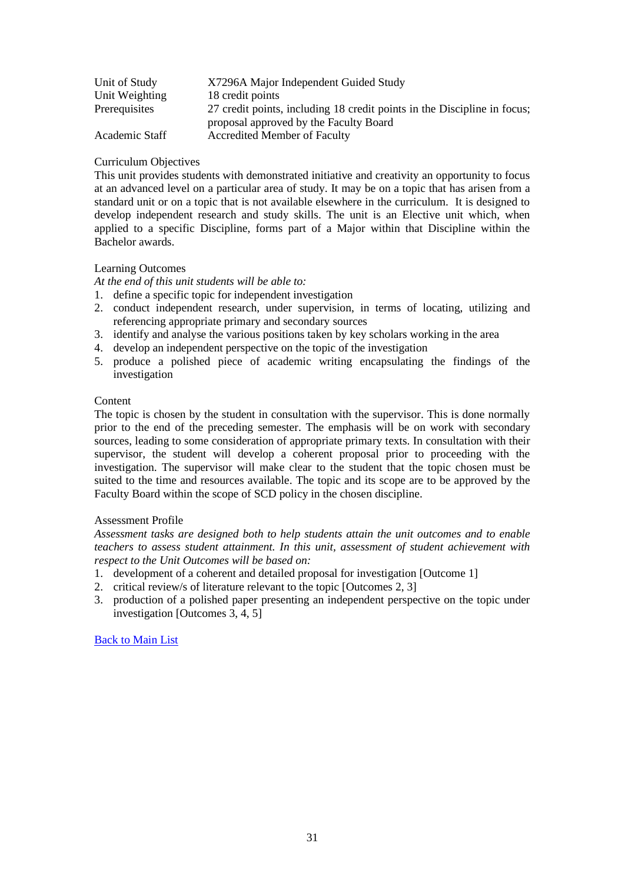| Unit of Study  | X7296A Major Independent Guided Study                                    |
|----------------|--------------------------------------------------------------------------|
| Unit Weighting | 18 credit points                                                         |
| Prerequisites  | 27 credit points, including 18 credit points in the Discipline in focus; |
|                | proposal approved by the Faculty Board                                   |
| Academic Staff | <b>Accredited Member of Faculty</b>                                      |

This unit provides students with demonstrated initiative and creativity an opportunity to focus at an advanced level on a particular area of study. It may be on a topic that has arisen from a standard unit or on a topic that is not available elsewhere in the curriculum. It is designed to develop independent research and study skills. The unit is an Elective unit which, when applied to a specific Discipline, forms part of a Major within that Discipline within the Bachelor awards.

# Learning Outcomes

*At the end of this unit students will be able to:*

- 1. define a specific topic for independent investigation
- 2. conduct independent research, under supervision, in terms of locating, utilizing and referencing appropriate primary and secondary sources
- 3. identify and analyse the various positions taken by key scholars working in the area
- 4. develop an independent perspective on the topic of the investigation
- 5. produce a polished piece of academic writing encapsulating the findings of the investigation

## **Content**

The topic is chosen by the student in consultation with the supervisor. This is done normally prior to the end of the preceding semester. The emphasis will be on work with secondary sources, leading to some consideration of appropriate primary texts. In consultation with their supervisor, the student will develop a coherent proposal prior to proceeding with the investigation. The supervisor will make clear to the student that the topic chosen must be suited to the time and resources available. The topic and its scope are to be approved by the Faculty Board within the scope of SCD policy in the chosen discipline.

# Assessment Profile

*Assessment tasks are designed both to help students attain the unit outcomes and to enable teachers to assess student attainment. In this unit, assessment of student achievement with respect to the Unit Outcomes will be based on:*

- 1. development of a coherent and detailed proposal for investigation [Outcome 1]
- 2. critical review/s of literature relevant to the topic [Outcomes 2, 3]
- <span id="page-30-0"></span>3. production of a polished paper presenting an independent perspective on the topic under investigation [Outcomes 3, 4, 5]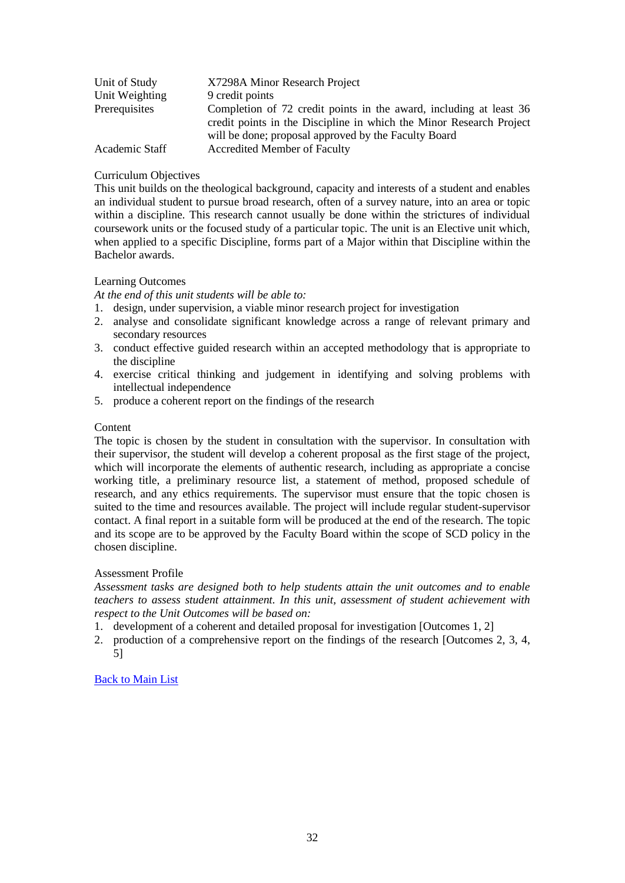| Unit of Study  | X7298A Minor Research Project                                                                                                                                                                     |
|----------------|---------------------------------------------------------------------------------------------------------------------------------------------------------------------------------------------------|
| Unit Weighting | 9 credit points                                                                                                                                                                                   |
| Prerequisites  | Completion of 72 credit points in the award, including at least 36<br>credit points in the Discipline in which the Minor Research Project<br>will be done; proposal approved by the Faculty Board |
| Academic Staff | <b>Accredited Member of Faculty</b>                                                                                                                                                               |

This unit builds on the theological background, capacity and interests of a student and enables an individual student to pursue broad research, often of a survey nature, into an area or topic within a discipline. This research cannot usually be done within the strictures of individual coursework units or the focused study of a particular topic. The unit is an Elective unit which, when applied to a specific Discipline, forms part of a Major within that Discipline within the Bachelor awards.

# Learning Outcomes

*At the end of this unit students will be able to:*

- 1. design, under supervision, a viable minor research project for investigation
- 2. analyse and consolidate significant knowledge across a range of relevant primary and secondary resources
- 3. conduct effective guided research within an accepted methodology that is appropriate to the discipline
- 4. exercise critical thinking and judgement in identifying and solving problems with intellectual independence
- 5. produce a coherent report on the findings of the research

# **Content**

The topic is chosen by the student in consultation with the supervisor. In consultation with their supervisor, the student will develop a coherent proposal as the first stage of the project, which will incorporate the elements of authentic research, including as appropriate a concise working title, a preliminary resource list, a statement of method, proposed schedule of research, and any ethics requirements. The supervisor must ensure that the topic chosen is suited to the time and resources available. The project will include regular student-supervisor contact. A final report in a suitable form will be produced at the end of the research. The topic and its scope are to be approved by the Faculty Board within the scope of SCD policy in the chosen discipline.

# Assessment Profile

*Assessment tasks are designed both to help students attain the unit outcomes and to enable teachers to assess student attainment. In this unit, assessment of student achievement with respect to the Unit Outcomes will be based on:*

- 1. development of a coherent and detailed proposal for investigation [Outcomes 1, 2]
- <span id="page-31-0"></span>2. production of a comprehensive report on the findings of the research [Outcomes 2, 3, 4, 5]